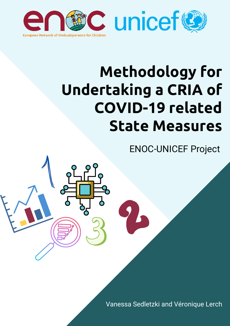

# **Methodology for Undertaking a CRIA of COVID-19 related State Measures**

ENOC-UNICEF Project

Vanessa Sedletzki and Véronique Lerch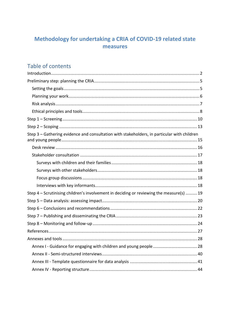# Methodology for undertaking a CRIA of COVID-19 related state measures

# Table of contents

| Step 3 – Gathering evidence and consultation with stakeholders, in particular with children |
|---------------------------------------------------------------------------------------------|
|                                                                                             |
|                                                                                             |
|                                                                                             |
|                                                                                             |
|                                                                                             |
|                                                                                             |
| Step 4 - Scrutinising children's involvement in deciding or reviewing the measure(s)  19    |
|                                                                                             |
|                                                                                             |
|                                                                                             |
|                                                                                             |
|                                                                                             |
|                                                                                             |
|                                                                                             |
|                                                                                             |
|                                                                                             |
|                                                                                             |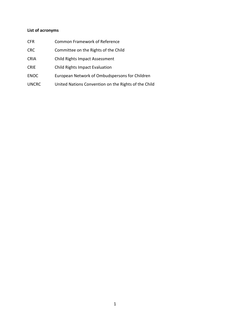# **List of acronyms**

| <b>CFR</b>   | <b>Common Framework of Reference</b>                 |
|--------------|------------------------------------------------------|
| <b>CRC</b>   | Committee on the Rights of the Child                 |
| <b>CRIA</b>  | Child Rights Impact Assessment                       |
| <b>CRIE</b>  | Child Rights Impact Evaluation                       |
| <b>ENOC</b>  | European Network of Ombudspersons for Children       |
| <b>UNCRC</b> | United Nations Convention on the Rights of the Child |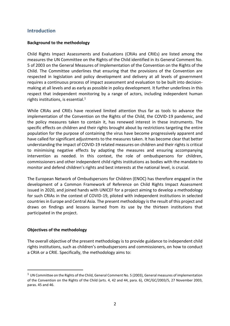## <span id="page-3-0"></span>**Introduction**

## **Background to the methodology**

Child Rights Impact Assessments and Evaluations (CRIAs and CRIEs) are listed among the measures the UN Committee on the Rights of the Child identified in its General Comment No. 5 of 2003 on the General Measures of Implementation of the Convention on the Rights of the Child. The Committee underlines that ensuring that the provisions of the Convention are respected in legislation and policy development and delivery at all levels of government requires a continuous process of impact assessment and evaluation to be built into decisionmaking at all levels and as early as possible in policy development. It further underlines in this respect that independent monitoring by a range of actors, including independent human rights institutions, is essential. $1$ 

While CRIAs and CRIEs have received limited attention thus far as tools to advance the implementation of the Convention on the Rights of the Child, the COVID-19 pandemic, and the policy measures taken to contain it, has renewed interest in these instruments. The specific effects on children and their rights brought about by restrictions targeting the entire population for the purpose of containing the virus have become progressively apparent and have called for significant adjustments to the measures taken. It has become clear that better understanding the impact of COVID-19 related measures on children and their rights is critical to minimising negative effects by adapting the measures and ensuring accompanying intervention as needed. In this context, the role of ombudspersons for children, commissioners and other independent child rights institutions as bodies with the mandate to monitor and defend children's rights and best interests at the national level, is crucial.

The European Network of Ombudspersons for Children (ENOC) has therefore engaged in the development of a Common Framework of Reference on Child Rights Impact Assessment issued in 2020, and joined hands with UNICEF for a project aiming to develop a methodology for such CRIAs in the context of COVID-19, piloted with independent institutions in selected countries in Europe and Central Asia. The present methodology is the result of this project and draws on findings and lessons learned from its use by the thirteen institutions that participated in the project.

## **Objectives of the methodology**

The overall objective of the present methodology is to provide guidance to independent child rights institutions, such as children's ombudspersons and commissioners, on how to conduct a CRIA or a CRIE. Specifically, the methodology aims to:

 $1$  UN Committee on the Rights of the Child, General Comment No. 5 (2003), General measures of implementation of the Convention on the Rights of the Child (arts. 4, 42 and 44, para. 6), CRC/GC/2003/5, 27 November 2003, paras. 45 and 46.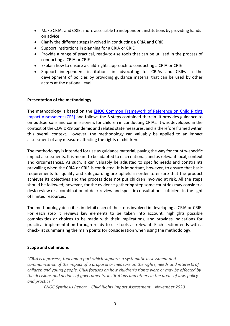- Make CRIAs and CRIEs more accessible to independent institutions by providing handson advice
- Clarify the different steps involved in conducting a CRIA and CRIE
- Support institutions in planning for a CRIA or CRIE
- Provide a range of practical, ready-to-use tools that can be utilised in the process of conducting a CRIA or CRIE
- Explain how to ensure a child-rights approach to conducting a CRIA or CRIE
- Support independent institutions in advocating for CRIAs and CRIEs in the development of policies by providing guidance material that can be used by other actors at the national level

#### **Presentation of the methodology**

The methodology is based on the [ENOC Common Framework of Reference on Child Rights](http://enoc.eu/wp-content/uploads/2020/12/ENOC-Common-Framework-of-Reference-FV.pdf)  [Impact Assessment](http://enoc.eu/wp-content/uploads/2020/12/ENOC-Common-Framework-of-Reference-FV.pdf) (CFR) and follows the 8 steps contained therein. It provides guidance to ombudspersons and commissioners for children in conducting CRIAs. It was developed in the context of the COVID-19 pandemic and related state measures, and is therefore framed within this overall context. However, the methodology can valuably be applied to an impact assessment of any measure affecting the rights of children.

The methodology is intended for use as guidance material, paving the way for country-specific impact assessments. It is meant to be adapted to each national, and as relevant local, context and circumstances. As such, it can valuably be adjusted to specific needs and constraints prevailing when the CRIA or CRIE is conducted. It is important, however, to ensure that basic requirements for quality and safeguarding are upheld in order to ensure that the product achieves its objectives and the process does not put children involved at risk. All the steps should be followed; however, for the evidence-gathering step some countries may consider a desk review or a combination of desk review and specific consultations sufficient in the light of limited resources.

The methodology describes in detail each of the steps involved in developing a CRIA or CRIE. For each step it reviews key elements to be taken into account, highlights possible complexities or choices to be made with their implications, and provides indications for practical implementation through ready-to-use tools as relevant. Each section ends with a check-list summarising the main points for consideration when using the methodology.

#### **Scope and definitions**

*"CRIA is a process, tool and report which supports a systematic assessment and communication of the impact of a proposal or measure on the rights, needs and interests of children and young people. CRIA focuses on how children's rights were or may be affected by the decisions and actions of governments, institutions and others in the areas of law, policy and practice."*

*ENOC Synthesis Report – Child Rights Impact Assessment – November 2020.*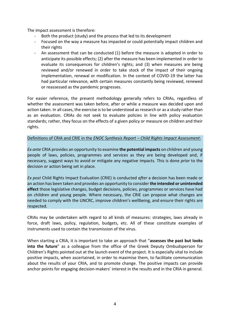The impact assessment is therefore:

- Both the product (study) and the process that led to its development
- Focused on the way a measure has impacted or could potentially impact children and their rights
- An assessment that can be conducted (1) before the measure is adopted in order to anticipate its possible effects; (2) after the measure has been implemented in order to evaluate its consequences for children's rights; and (3) when measures are being reviewed and/or renewed in order to take stock of the impact of their ongoing implementation, renewal or modification. In the context of COVID-19 the latter has had particular relevance, with certain measures constantly being reviewed, renewed or reassessed as the pandemic progresses.

For easier reference, the present methodology generally refers to CRIAs, regardless of whether the assessment was taken before, after or while a measure was decided upon and action taken. In all cases, the exercise is to be understood as research or as a study rather than as an evaluation. CRIAs do not seek to evaluate policies in line with policy evaluation standards; rather, they focus on the effects of a given policy or measure on children and their rights.

#### Definitions of CRIA and CRIE in the *ENOC Synthesis Report – Child Rights Impact Assessment*:

*Ex ante* CRIA provides an opportunity to examine **the potential impacts** on children and young people of laws, policies, programmes and services as they are being developed and, if necessary, suggest ways to avoid or mitigate any negative impacts. This is done *prior* to the decision or action being set in place.

*Ex post* Child Rights Impact Evaluation (CRIE) is conducted *after* a decision has been made or an action has been taken and provides an opportunity to consider **the intended or unintended effect** those legislative changes, budget decisions, policies, programmes or services have had on children and young people. Where necessary, the CRIE can propose what changes are needed to comply with the UNCRC, improve children's wellbeing, and ensure their rights are respected.

CRIAs may be undertaken with regard to all kinds of measures: strategies, laws already in force, draft laws, policy, regulation, budgets, etc. All of these constitute examples of instruments used to contain the transmission of the virus.

When starting a CRIA, it is important to take an approach that "**assesses the past but looks into the future**" as a colleague from the office of the Greek Deputy Ombudsperson for Children's Rights pointed out at the launch event of the project. It is especially vital to include positive impacts, when ascertained, in order to maximise them, to facilitate communication about the results of your CRIA, and to promote change. The positive impacts can provide anchor points for engaging decision-makers' interest in the results and in the CRIA in general.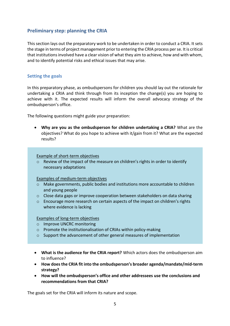## <span id="page-6-0"></span>**Preliminary step: planning the CRIA**

This section lays out the preparatory work to be undertaken in order to conduct a CRIA. It sets the stage in terms of project management prior to entering the CRIA process per se. It is critical that institutions involved have a clear vision of what they aim to achieve, how and with whom, and to identify potential risks and ethical issues that may arise.

## <span id="page-6-1"></span>**Setting the goals**

In this preparatory phase, as ombudspersons for children you should lay out the rationale for undertaking a CRIA and think through from its inception the change(s) you are hoping to achieve with it. The expected results will inform the overall advocacy strategy of the ombudsperson's office.

The following questions might guide your preparation:

• **Why are you as the ombudsperson for children undertaking a CRIA?** What are the objectives? What do you hope to achieve with it/gain from it? What are the expected results?

Example of short-term objectives

 $\circ$  Review of the impact of the measure on children's rights in order to identify necessary adaptations

Examples of medium-term objectives

- $\circ$  Make governments, public bodies and institutions more accountable to children and young people
- $\circ$  Close data gaps or improve cooperation between stakeholders on data sharing
- $\circ$  Encourage more research on certain aspects of the impact on children's rights where evidence is lacking

#### Examples of long-term objectives

- o Improve UNCRC monitoring
- o Promote the institutionalisation of CRIAs within policy-making
- o Support the advancement of other general measures of implementation
- **What is the audience for the CRIA report?** Which actors does the ombudsperson aim to influence?
- **How does the CRIA fit into the ombudsperson's broader agenda/mandate/mid-term strategy?**
- **How will the ombudsperson's office and other addressees use the conclusions and recommendations from that CRIA?**

The goals set for the CRIA will inform its nature and scope.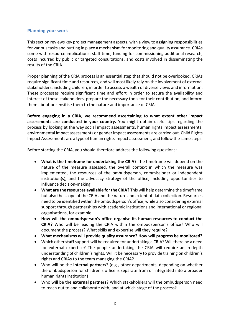## <span id="page-7-0"></span>**Planning your work**

This section reviews key project management aspects, with a view to assigning responsibilities for various tasks and putting in place a mechanism for monitoring and quality assurance. CRIAs come with resource implications: staff time, funding for commissioning additional research, costs incurred by public or targeted consultations, and costs involved in disseminating the results of the CRIA.

Proper planning of the CRIA process is an essential step that should not be overlooked. CRIAs require significant time and resources, and will most likely rely on the involvement of external stakeholders, including children, in order to access a wealth of diverse views and information. These processes require significant time and effort in order to secure the availability and interest of these stakeholders, prepare the necessary tools for their contribution, and inform them about or sensitise them to the nature and importance of CRIAs.

**Before engaging in a CRIA, we recommend ascertaining to what extent other impact assessments are conducted in your country.** You might obtain useful tips regarding the process by looking at the way social impact assessments, human rights impact assessments, environmental impact assessments or gender impact assessments are carried out. Child Rights Impact Assessments are a type of human rights impact assessment, and follow the same steps.

Before starting the CRIA, you should therefore address the following questions:

- **What is the timeframe for undertaking the CRIA?** The timeframe will depend on the nature of the measure assessed, the overall context in which the measure was implemented, the resources of the ombudsperson, commissioner or independent institution(s), and the advocacy strategy of the office, including opportunities to influence decision-making.
- **What are the resources available for the CRIA?** This will help determine the timeframe but also the scope of the CRIA and the nature and extent of data collection. Resources need to be identified within the ombudsperson's office, while also considering external support through partnerships with academic institutions and international or regional organisations, for example.
- **How will the ombudsperson's office organise its human resources to conduct the CRIA?** Who will be leading the CRIA within the ombudsperson's office? Who will document the process? What skills and expertise will they require?
- **What mechanisms will provide quality assurance? How will progress be monitored?**
- Which other **staff** support will be required for undertaking a CRIA? Will there be a need for external expertise? The people undertaking the CRIA will require an in-depth understanding of children's rights. Will it be necessary to provide training on children's rights and CRIAs to the team managing the CRIA?
- Who will be the **internal partners**? (e.g., other departments, depending on whether the ombudsperson for children's office is separate from or integrated into a broader human rights institution)
- Who will be the **external partners**? Which stakeholders will the ombudsperson need to reach out to and collaborate with, and at which stage of the process?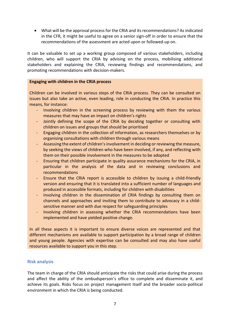• What will be the approval process for the CRIA and its recommendations? As indicated in the CFR, it might be useful to agree on a senior sign-off in order to ensure that the recommendations of the assessment are acted upon or followed-up on.

It can be valuable to set up a working group composed of various stakeholders, including children, who will support the CRIA by advising on the process, mobilising additional stakeholders and explaining the CRIA, reviewing findings and recommendations, and promoting recommendations with decision-makers.

#### **Engaging with children in the CRIA process**

Children can be involved in various steps of the CRIA process. They can be consulted on issues but also take an active, even leading, role in conducting the CRIA. In practice this means, for instance:

- Involving children in the screening process by reviewing with them the various measures that may have an impact on children's rights
- Jointly defining the scope of the CRIA by deciding together or consulting with children on issues and groups that should be prioritised
- Engaging children in the collection of information, as researchers themselves or by organising consultations with children through various means
- Assessing the extent of children's involvement in deciding or reviewing the measure, by seeking the views of children who have been involved, if any, and reflecting with them on their possible involvement in the measures to be adopted
- Ensuring that children participate in quality assurance mechanisms for the CRIA, in particular in the analysis of the data and in reviewing conclusions and recommendations
- Ensure that the CRIA report is accessible to children by issuing a child-friendly version and ensuring that it is translated into a sufficient number of languages and produced in accessible formats, including for children with disabilities
- Involving children in the dissemination of CRIA findings by consulting them on channels and approaches and inviting them to contribute to advocacy in a childsensitive manner and with due respect for safeguarding principles
- Involving children in assessing whether the CRIA recommendations have been implemented and have yielded positive change.

In all these aspects it is important to ensure diverse voices are represented and that different mechanisms are available to support participation by a broad range of children and young people. Agencies with expertise can be consulted and may also have useful resources available to support you in this step.

## <span id="page-8-0"></span>**Risk analysis**

The team in charge of the CRIA should anticipate the risks that could arise during the process and affect the ability of the ombudsperson's office to complete and disseminate it, and achieve its goals. Risks focus on project management itself and the broader socio-political environment in which the CRIA is being conducted.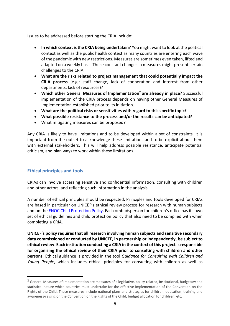#### Issues to be addressed before starting the CRIA include:

- **In which context is the CRIA being undertaken?** You might want to look at the political context as well as the public health context as many countries are entering each wave of the pandemic with new restrictions. Measures are sometimes even taken, lifted and adapted on a weekly basis. These constant changes in measures might present certain challenges to the CRIA.
- **What are the risks related to project management that could potentially impact the CRIA process** (e.g.: staff change, lack of cooperation and interest from other departments, lack of resources)?
- **Which other General Measures of Implementation<sup>2</sup> are already in place?** Successful implementation of the CRIA process depends on having other General Measures of Implementation established prior to its initiation.
- **What are the political risks or sensitivities with regard to this specific topic?**
- **What possible resistance to the process and/or the results can be anticipated?**
- What mitigating measures can be proposed?

Any CRIA is likely to have limitations and to be developed within a set of constraints. It is important from the outset to acknowledge these limitations and to be explicit about them with external stakeholders. This will help address possible resistance, anticipate potential criticism, and plan ways to work within these limitations.

## <span id="page-9-0"></span>**Ethical principles and tools**

CRIAs can involve accessing sensitive and confidential information, consulting with children and other actors, and reflecting such information in the analysis.

A number of ethical principles should be respected. Principles and tools developed for CRIAs are based in particular on UNICEF's ethical review process for research with human subjects and on the [ENOC Child Protection Policy.](http://enoc.eu/wp-content/uploads/2021/01/Child-protection-policy-2021.pdf) Each ombudsperson for children's office has its own set of ethical guidelines and child protection policy that also need to be complied with when completing a CRIA.

**UNICEF's policy requires that all research involving human subjects and sensitive secondary data commissioned or conducted by UNICEF, in partnership or independently, be subject to ethical review**. **Each institution conducting a CRIA in the context of this project is responsible for organising the ethical review of their CRIA prior to consulting with children and other persons.** Ethical guidance is provided in the tool *Guidance for Consulting with Children and Young People*, which includes ethical principles for consulting with children as well as

<sup>&</sup>lt;sup>2</sup> General Measures of Implementation are measures of a legislative, policy-related, institutional, budgetary and statistical nature which countries must undertake for the effective implementation of the Convention on the Rights of the Child. These measures include national plans and strategies for children, education, training and awareness-raising on the Convention on the Rights of the Child, budget allocation for children, etc.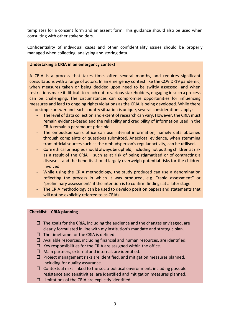templates for a consent form and an assent form. This guidance should also be used when consulting with other stakeholders.

Confidentiality of individual cases and other confidentiality issues should be properly managed when collecting, analysing and storing data.

#### **Undertaking a CRIA in an emergency context**

A CRIA is a process that takes time, often several months, and requires significant consultations with a range of actors. In an emergency context like the COVID-19 pandemic, when measures taken or being decided upon need to be swiftly assessed, and when restrictions make it difficult to reach out to various stakeholders, engaging in such a process can be challenging. The circumstances can compromise opportunities for influencing measures and lead to ongoing rights violations as the CRIA is being developed. While there is no simple answer and each country situation is unique, several considerations apply:

- The level of data collection and extent of research can vary. However, the CRIA must remain evidence-based and the reliability and credibility of information used in the CRIA remain a paramount principle.
- The ombudsperson's office can use internal information, namely data obtained through complaints or questions submitted. Anecdotal evidence, when stemming from official sources such as the ombudsperson's regular activity, can be utilised.
- Core ethical principles should always be upheld, including not putting children at risk as a result of the CRIA – such as at risk of being stigmatised or of contracting a disease – and the benefits should largely overweigh potential risks for the children involved.
- While using the CRIA methodology, the study produced can use a denomination reflecting the process in which it was produced, e.g. "rapid assessment" or "preliminary assessment" if the intention is to confirm findings at a later stage.
- The CRIA methodology can be used to develop position papers and statements that will not be explicitly referred to as CRIAs.

#### **Checklist – CRIA planning**

- $\Box$  The goals for the CRIA, including the audience and the changes envisaged, are clearly formulated in line with my institution's mandate and strategic plan.
- $\Box$  The timeframe for the CRIA is defined.
- $\Box$  Available resources, including financial and human resources, are identified.
- $\Box$  Key responsibilities for the CRIA are assigned within the office.
- $\Box$  Main partners, external and internal, are identified.
- $\Box$  Project management risks are identified, and mitigation measures planned, including for quality assurance.
- $\Box$  Contextual risks linked to the socio-political environment, including possible resistance and sensitivities, are identified and mitigation measures planned.
- $\square$  Limitations of the CRIA are explicitly identified.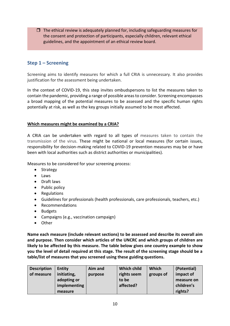$\Box$  The ethical review is adequately planned for, including safeguarding measures for the consent and protection of participants, especially children, relevant ethical guidelines, and the appointment of an ethical review board.

## <span id="page-11-0"></span>**Step 1 – Screening**

Screening aims to identify measures for which a full CRIA is unnecessary. It also provides justification for the assessment being undertaken.

In the context of COVID-19, this step invites ombudspersons to list the measures taken to contain the pandemic, providing a range of possible areas to consider. Screening encompasses a broad mapping of the potential measures to be assessed and the specific human rights potentially at risk, as well as the key groups initially assumed to be most affected.

## **Which measures might be examined by a CRIA?**

A CRIA can be undertaken with regard to all types of measures taken to contain the transmission of the virus. These might be national or local measures (for certain issues, responsibility for decision-making related to COVID-19 prevention measures may be or have been with local authorities such as district authorities or municipalities).

Measures to be considered for your screening process:

- Strategy
- Laws
- Draft laws
- Public policy
- Regulations
- Guidelines for professionals (health professionals, care professionals, teachers, etc.)
- Recommendations
- Budgets
- Campaigns (e.g., vaccination campaign)
- Other

**Name each measure (include relevant sections) to be assessed and describe its overall aim and purpose. Then consider which articles of the UNCRC and which groups of children are likely to be affected by this measure. The table below gives one country example to show you the level of detail required at this stage. The result of the screening stage should be a table/list of measures that you screened using these guiding questions.**

| <b>Description</b> | <b>Entity</b> | Aim and | <b>Which child</b> | <b>Which</b> | (Potential) |
|--------------------|---------------|---------|--------------------|--------------|-------------|
| of measure         | initiating,   | purpose | rights seem        | groups of    | impact of   |
|                    | adopting or   |         | to be              |              | measure on  |
|                    | implementing  |         | affected?          |              | children's  |
|                    | measure       |         |                    |              | rights?     |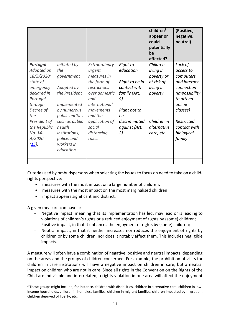|                 |                      |                      |                 | children $3$<br>appear or<br>could<br>potentially<br>be<br>affected? | (Positive,<br>negative,<br>neutral) |
|-----------------|----------------------|----------------------|-----------------|----------------------------------------------------------------------|-------------------------------------|
| <b>Portugal</b> | Initiated by         | Extraordinary        | <b>Right to</b> | Children                                                             | Lack of                             |
| Adopted on      | the                  | urgent               | education       | living in                                                            | access to                           |
| 18/3/2020:      | government           | measures in          |                 | poverty or                                                           | computers                           |
| state of        |                      | the form of          | Right to be in  | at risk of                                                           | and internet                        |
| emergency       | Adopted by           | restrictions         | contact with    | living in                                                            | connection                          |
| declared in     | the President        | over domestic        | family (Art.    | poverty                                                              | <i>(impossibility</i>               |
| Portugal        |                      | and                  | 9)              |                                                                      | to attend                           |
| through         | Implemented          | <i>international</i> |                 |                                                                      | online                              |
| Decree of       | by numerous          | movements            | Right not to    |                                                                      | classes)                            |
| the             | public entities      | and the              | be              |                                                                      |                                     |
| President of    | such as public       | application of       | discriminated   | Children in                                                          | Restricted                          |
| the Republic    | health               | social               | against (Art.   | alternative                                                          | contact with                        |
| No. 14-         | <i>institutions,</i> | distancing           | 2)              | care, etc.                                                           | biological                          |
| A/2020          | police, and          | rules.               |                 |                                                                      | family                              |
| $(15)$ .        | workers in           |                      |                 |                                                                      |                                     |
|                 | education.           |                      |                 |                                                                      |                                     |
|                 |                      |                      |                 |                                                                      |                                     |
|                 |                      |                      |                 |                                                                      |                                     |

Criteria used by ombudspersons when selecting the issues to focus on need to take on a childrights perspective:

- measures with the most impact on a large number of children;
- measures with the most impact on the most marginalised children;
- impact appears significant and distinct.

A given measure can have a:

- Negative impact, meaning that its implementation has led, may lead or is leading to violations of children's rights or a reduced enjoyment of rights by (some) children;
- Positive impact, in that it enhances the enjoyment of rights by (some) children;
- Neutral impact, in that it neither increases nor reduces the enjoyment of rights by children or by some children, nor does it notably affect them. This includes negligible impacts.

A measure will often have a combination of negative, positive and neutral impacts, depending on the areas and the groups of children concerned. For example, the prohibition of visits for children in care institutions will have a negative impact on children in care, but a neutral impact on children who are not in care. Since all rights in the Convention on the Rights of the Child are indivisible and interrelated, a rights violation in one area will affect the enjoyment

<sup>&</sup>lt;sup>3</sup> These groups might include, for instance, children with disabilities, children in alternative care, children in lowincome households, children in homeless families, children in migrant families, children impacted by migration, children deprived of liberty, etc.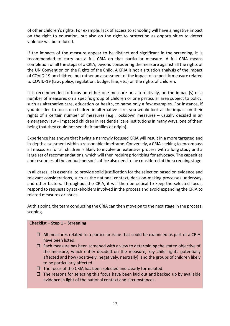of other children's rights. For example, lack of access to schooling will have a negative impact on the right to education, but also on the right to protection as opportunities to detect violence will be reduced.

If the impacts of the measure appear to be distinct and significant in the screening, it is recommended to carry out a full CRIA on that particular measure. A full CRIA means completion of all the steps of a CRIA, beyond considering the measure against all the rights of the UN Convention on the Rights of the Child. A CRIA is not a situation analysis of the impact of COVID-19 on children, but rather an assessment of the impact of a specific measure related to COVID-19 (law, policy, regulation, budget line, etc.) on the rights of children.

It is recommended to focus on either one measure or, alternatively, on the impact(s) of a number of measures on a specific group of children or one particular area subject to policy, such as alternative care, education or health, to name only a few examples. For instance, if you decided to focus on children in alternative care, you would look at the impact on their rights of a certain number of measures (e.g., lockdown measures – usually decided in an emergency law – impacted children in residential care institutions in many ways, one of them being that they could not see their families of origin).

Experience has shown that having a narrowly focused CRIA will result in a more targeted and in-depth assessment within a reasonable timeframe. Conversely, a CRIA seeking to encompass all measures for all children is likely to involve an extensive process with a long study and a large set of recommendations, which will then require prioritising for advocacy. The capacities and resources of the ombudsperson's office also need to be considered at the screening stage.

In all cases, it is essential to provide solid justification for the selection based on evidence and relevant considerations, such as the national context, decision-making processes underway, and other factors. Throughout the CRIA, it will then be critical to keep the selected focus, respond to requests by stakeholders involved in the process and avoid expanding the CRIA to related measures or issues.

At this point, the team conducting the CRIA can then move on to the next stage in the process: scoping.

## **Checklist – Step 1 – Screening**

- $\Box$  All measures related to a particular issue that could be examined as part of a CRIA have been listed.
- $\Box$  Each measure has been screened with a view to determining the stated objective of the measure, which entity decided on the measure, key child rights potentially affected and how (positively, negatively, neutrally), and the groups of children likely to be particularly affected.
- $\Box$  The focus of the CRIA has been selected and clearly formulated.
- $\Box$  The reasons for selecting this focus have been laid out and backed up by available evidence in light of the national context and circumstances.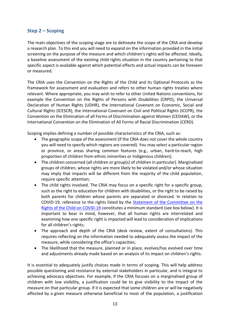## <span id="page-14-0"></span>**Step 2 – Scoping**

The main objectives of the scoping stage are to delineate the scope of the CRIA and develop a research plan. To this end you will need to expand on the information provided in the initial screening on the purpose of the measure and which children's rights will be affected. Ideally, a baseline assessment of the existing child rights situation in the country pertaining to that specific aspect is available against which potential effects and actual impacts can be foreseen or measured.

The CRIA uses the Convention on the Rights of the Child and its Optional Protocols as the framework for assessment and evaluation and refers to other human rights treaties where relevant. Where appropriate, you may wish to refer to other United Nations conventions, for example the Convention on the Rights of Persons with Disabilities (CRPD), the Universal Declaration of Human Rights (UDHR), the International Covenant on Economic, Social and Cultural Rights (ICESCR), the International Covenant on Civil and Political Rights (ICCPR), the Convention on the Elimination of all Forms of Discrimination against Women (CEDAW), or the International Convention on the Elimination of All Forms of Racial Discrimination (CERD).

Scoping implies defining a number of possible characteristics of the CRIA, such as:

- The geographic scope of the assessment (if the CRIA does not cover the whole country you will need to specify which regions are covered). You may select a particular region or province, or areas sharing common features (e.g., urban, hard-to-reach, high proportion of children from ethnic minorities or Indigenous children);
- The children concerned (all children or group(s) of children in particular). Marginalised groups of children, whose rights are more likely to be violated and/or whose situation may imply that impacts will be different from the majority of the child population, require specific attention;
- The child rights involved. The CRIA may focus on a specific right for a specific group, such as the right to education for children with disabilities, or the right to be raised by both parents for children whose parents are separated or divorced. In relation to COVID-19, reference to the rights listed by the [Statement of the Committee on the](https://tbinternet.ohchr.org/Treaties/CRC/Shared%20Documents/1_Global/INT_CRC_STA_9095_E.docx)  [Rights of the Child on COVID-19](https://tbinternet.ohchr.org/Treaties/CRC/Shared%20Documents/1_Global/INT_CRC_STA_9095_E.docx) constitutes a minimum standard (see box below). It is important to bear in mind, however, that all human rights are interrelated and examining how one specific right is impacted will lead to consideration of implications for all children's rights;
- The approach and depth of the CRIA (desk review, extent of consultations). This requires reflecting on the information needed to adequately assess the impact of the measure, while considering the office's capacities;
- The likelihood that the measure, planned or in place, evolves/has evolved over time and adjustments already made based on an analysis of its impact on children's rights.

It is essential to adequately justify choices made in terms of scoping. This will help address possible questioning and resistance by external stakeholders in particular, and is integral to achieving advocacy objectives. For example, if the CRIA focuses on a marginalised group of children with low visibility, a justification could be to give visibility to the impact of the measure on that particular group. If it is expected that some children are or will be negatively affected by a given measure otherwise beneficial to most of the population, a justification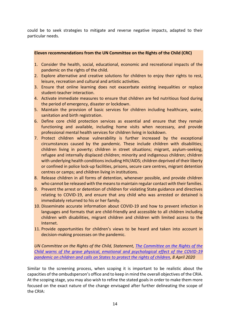could be to seek strategies to mitigate and reverse negative impacts, adapted to their particular needs.

### **Eleven recommendations from the UN Committee on the Rights of the Child (CRC)**

- 1. Consider the health, social, educational, economic and recreational impacts of the pandemic on the rights of the child.
- 2. Explore alternative and creative solutions for children to enjoy their rights to rest, leisure, recreation and cultural and artistic activities.
- 3. Ensure that online learning does not exacerbate existing inequalities or replace student-teacher interaction.
- 4. Activate immediate measures to ensure that children are fed nutritious food during the period of emergency, disaster or lockdown.
- 5. Maintain the provision of basic services for children including healthcare, water, sanitation and birth registration.
- 6. Define core child protection services as essential and ensure that they remain functioning and available, including home visits when necessary, and provide professional mental health services for children living in lockdown.
- 7. Protect children whose vulnerability is further increased by the exceptional circumstances caused by the pandemic. These include children with disabilities; children living in poverty; children in street situations; migrant, asylum-seeking, refugee and internally displaced children; minority and indigenous children; children with underlying health conditions including HIV/AIDS; children deprived of their liberty or confined in police lock-up facilities, prisons, secure care centres, migrant detention centres or camps; and children living in institutions.
- 8. Release children in all forms of detention, whenever possible, and provide children who cannot be released with the means to maintain regular contact with their families.
- 9. Prevent the arrest or detention of children for violating State guidance and directives relating to COVID-19, and ensure that any child who was arrested or detained is immediately returned to his or her family.
- 10. Disseminate accurate information about COVID-19 and how to prevent infection in languages and formats that are child-friendly and accessible to all children including children with disabilities, migrant children and children with limited access to the Internet.
- 11. Provide opportunities for children's views to be heard and taken into account in decision-making processes on the pandemic.

*UN Committee on the Rights of the Child, Statement, [The Committee on the Rights of the](https://tbinternet.ohchr.org/Treaties/CRC/Shared%20Documents/1_Global/INT_CRC_STA_9095_E.docx)  [Child warns of the grave physical, emotional and psychological effect of the COVID-19](https://tbinternet.ohchr.org/Treaties/CRC/Shared%20Documents/1_Global/INT_CRC_STA_9095_E.docx)  [pandemic on children and calls on States to protect the rights of children,](https://tbinternet.ohchr.org/Treaties/CRC/Shared%20Documents/1_Global/INT_CRC_STA_9095_E.docx) 8 April 2020* 

Similar to the screening process, when scoping it is important to be realistic about the capacities of the ombudsperson's office and to keep in mind the overall objectives of the CRIA. At the scoping stage, you may also wish to refine the stated goals in order to make them more focused on the exact nature of the change envisaged after further delineating the scope of the CRIA: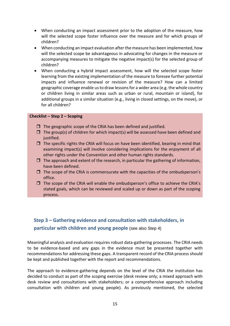- When conducting an impact assessment prior to the adoption of the measure, how will the selected scope foster influence over the measure and for which groups of children?
- When conducting an impact evaluation after the measure has been implemented, how will the selected scope be advantageous in advocating for changes in the measure or accompanying measures to mitigate the negative impact(s) for the selected group of children?
- When conducting a hybrid impact assessment, how will the selected scope foster learning from the existing implementation of the measure to foresee further potential impacts and influence renewal or revision of the measure? How can a limited geographic coverage enable us to draw lessons for a wider area (e.g. the whole country or children living in similar areas such as urban or rural, mountain or island), for additional groups in a similar situation (e.g., living in closed settings, on the move), or for all children?

#### **Checklist – Step 2 – Scoping**

- $\Box$  The geographic scope of the CRIA has been defined and justified.
- $\Box$  The group(s) of children for which impact(s) will be assessed have been defined and justified.
- $\Box$  The specific rights the CRIA will focus on have been identified, bearing in mind that examining impact(s) will involve considering implications for the enjoyment of all other rights under the Convention and other human rights standards.
- $\Box$  The approach and extent of the research, in particular the gathering of information, have been defined.
- $\Box$  The scope of the CRIA is commensurate with the capacities of the ombudsperson's office.
- $\Box$  The scope of the CRIA will enable the ombudsperson's office to achieve the CRIA's stated goals, which can be reviewed and scaled up or down as part of the scoping process.

# <span id="page-16-0"></span>**Step 3 – Gathering evidence and consultation with stakeholders, in particular with children and young people** (see also Step 4)

Meaningful analysis and evaluation requires robust data-gathering processes. The CRIA needs to be evidence-based and any gaps in the evidence must be presented together with recommendations for addressing these gaps. A transparent record of the CRIA process should be kept and published together with the report and recommendations.

The approach to evidence-gathering depends on the level of the CRIA the institution has decided to conduct as part of the scoping exercise (desk review only; a mixed approach with desk review and consultations with stakeholders; or a comprehensive approach including consultation with children and young people). As previously mentioned, the selected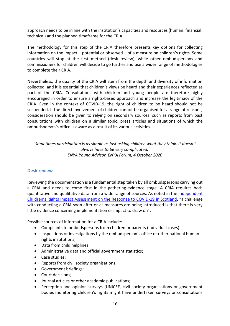approach needs to be in line with the institution's capacities and resources (human, financial, technical) and the planned timeframe for the CRIA.

The methodology for this step of the CRIA therefore presents key options for collecting information on the impact – potential or observed – of a measure on children's rights. Some countries will stop at the first method (desk review), while other ombudspersons and commissioners for children will decide to go further and use a wider range of methodologies to complete their CRIA.

Nevertheless, the quality of the CRIA will stem from the depth and diversity of information collected, and it is essential that children's views be heard and their experiences reflected as part of the CRIA. Consultations with children and young people are therefore highly encouraged in order to ensure a rights-based approach and increase the legitimacy of the CRIA. Even in the context of COVID-19, the right of children to be heard should not be suspended. If the direct involvement of children cannot be organised for a range of reasons, consideration should be given to relying on secondary sources, such as reports from past consultations with children on a similar topic, press articles and situations of which the ombudsperson's office is aware as a result of its various activities.

*'Sometimes participation is as simple as just asking children what they think. It doesn't always have to be very complicated.' ENYA Young Advisor, ENYA Forum, 4 October 2020*

## <span id="page-17-0"></span>**Desk review**

Reviewing the documentation is a fundamental step taken by all ombudspersons carrying out a CRIA and needs to come first in the gathering-evidence stage. A CRIA requires both quantitative and qualitative data from a wide range of sources. As noted in the [Independent](https://cypcs.org.uk/wpcypcs/wp-content/uploads/2020/07/independent-cria.pdf)  [Children's Rights Impact Assessment on the Respon](https://cypcs.org.uk/wpcypcs/wp-content/uploads/2020/07/independent-cria.pdf)se to COVID-19 in Scotland, "a challenge with conducting a CRIA soon after or as measures are being introduced is that there is very little evidence concerning implementation or impact to draw on".

Possible sources of information for a CRIA include:

- Complaints to ombudspersons from children or parents (individual cases)
- Inspections or investigations by the ombudsperson's office or other national human rights institutions;
- Data from child helplines;
- Administrative data and official government statistics;
- Case studies;
- Reports from civil society organisations;
- Government briefings;
- Court decisions;
- Journal articles or other academic publications;
- Perception and opinion surveys (UNICEF, civil society organisations or government bodies monitoring children's rights might have undertaken surveys or consultations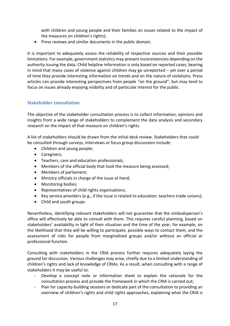with children and young people and their families on issues related to the impact of the measures on children's rights);

• Press reviews and similar documents in the public domain.

It is important to adequately assess the reliability of respective sources and their possible limitations. For example, government statistics may present inconsistencies depending on the authority issuing the data. Child helpline information is only based on reported cases, bearing in mind that many cases of violence against children may go unreported – yet over a period of time they provide interesting information on trends and on the nature of violations. Press articles can provide interesting perspectives from people "on the ground", but may tend to focus on issues already enjoying visibility and of particular interest for the public.

## <span id="page-18-0"></span>**Stakeholder consultation**

The objective of the stakeholder consultation process is to collect information, opinions and insights from a wide range of stakeholders to complement the data analysis and secondary research on the impact of that measure on children's rights.

A list of stakeholders should be drawn from the initial desk review. Stakeholders that could be consulted through surveys, interviews or focus group discussions include:

- Children and young people;
- Caregivers;
- Teachers, care and education professionals;
- Members of the official body that took the measure being assessed;
- Members of parliament;
- Ministry officials in charge of the issue at hand;
- Monitoring bodies;
- Representatives of child rights organisations;
- Key service providers (e.g., if the issue is related to education: teachers trade unions);
- Child and youth groups.

Nevertheless, identifying relevant stakeholders will not guarantee that the ombudsperson's office will effectively be able to consult with them. This requires careful planning, based on stakeholders' availability in light of their situation and the time of the year, for example, on the likelihood that they will be willing to participate, possible ways to contact them, and the assessment of risks for people from marginalised groups and/or without an official or professional function.

Consulting with stakeholders in the CRIA process further requires adequately laying the ground for discussion. Various challenges may arise, chiefly due to a limited understanding of children's rights and lack of knowledge of CRIAs. As a result, when consulting with a range of stakeholders it may be useful to:

- Develop a concept note or information sheet to explain the rationale for the consultation process and provide the framework in which the CRIA is carried out;
- Plan for capacity-building sessions or dedicate part of the consultation to providing an overview of children's rights and child rights approaches, explaining what the CRIA is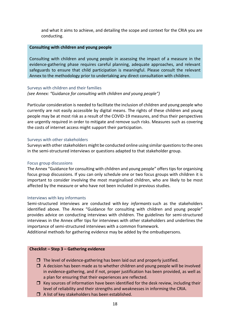and what it aims to achieve, and detailing the scope and context for the CRIA you are conducting.

#### **Consulting with children and young people**

Consulting with children and young people in assessing the impact of a measure in the evidence-gathering phase requires careful planning, adequate approaches, and relevant safeguards to ensure that child participation is meaningful. Please consult the relevant Annex to the methodology prior to undertaking any direct consultation with children.

#### <span id="page-19-0"></span>Surveys with children and their families *(see Annex: "*Guidance *for consulting with children and young people")*

Particular consideration is needed to facilitate the inclusion of children and young people who currently are not easily accessible by digital means. The rights of these children and young people may be at most risk as a result of the COVID-19 measures, and thus their perspectives are urgently required in order to mitigate and remove such risks. Measures such as covering the costs of internet access might support their participation.

#### <span id="page-19-1"></span>Surveys with other stakeholders

Surveys with other stakeholders might be conducted online using similar questions to the ones in the semi-structured interviews or questions adapted to that stakeholder group.

#### <span id="page-19-2"></span>Focus group discussions

The Annex "Guidance for consulting with children and young people" offers tips for organising focus group discussions. If you can only schedule one or two focus groups with children it is important to consider involving the most marginalised children, who are likely to be most affected by the measure or who have not been included in previous studies.

#### <span id="page-19-3"></span>Interviews with key informants

Semi-structured interviews are conducted with *key informants* such as the stakeholders identified above. The Annex "Guidance for consulting with children and young people" provides advice on conducting interviews with children. The guidelines for semi-structured interviews in the Annex offer tips for interviews with other stakeholders and underlines the importance of semi-structured interviews with a common framework.

Additional methods for gathering evidence may be added by the ombudspersons.

#### **Checklist – Step 3 – Gathering evidence**

- $\Box$  The level of evidence-gathering has been laid out and properly justified.
- $\Box$  A decision has been made as to whether children and young people will be involved in evidence-gathering, and if not, proper justification has been provided, as well as a plan for ensuring that their experiences are reflected.
- $\Box$  Key sources of information have been identified for the desk review, including their level of reliability and their strengths and weaknesses in informing the CRIA.
- $\Box$  A list of key stakeholders has been established.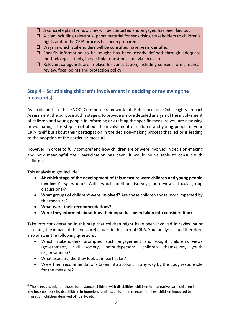- $\Box$  A concrete plan for how they will be contacted and engaged has been laid out.
- $\Box$  A plan including relevant support material for sensitising stakeholders to children's rights and to the CRIA process has been prepared.
- $\Box$  Ways in which stakeholders will be consulted have been identified.
- $\square$  Specific information to be sought has been clearly defined through adequate methodological tools, in particular questions, and via focus areas.
- $\Box$  Relevant safeguards are in place for consultation, including consent forms, ethical review, focal points and protection policy.

# <span id="page-20-0"></span>**Step 4 – Scrutinising children's involvement in deciding or reviewing the measure(s)**

As explained in the ENOC Common Framework of Reference on Child Rights Impact Assessment, the purpose at this stage is to provide a more detailed analysis of the involvement of children and young people in informing or drafting the specific measure you are assessing or evaluating. This step is not about the involvement of children and young people in your CRIA itself but about their participation in the decision-making process that led or is leading to the adoption of the particular measure.

However, in order to fully comprehend how children are or were involved in decision-making and how meaningful their participation has been, it would be valuable to consult with children.

This analysis might include:

- **At which stage of the development of this measure were children and young people involved?** By whom? With which method (surveys, interviews, focus group discussions)?
- **What groups of children<sup>4</sup> were involved?** Are these children those most impacted by this measure?
- **What were their recommendations?**
- **Were they informed about how their input has been taken into consideration?**

Take into consideration in this step that children might have been involved in reviewing or assessing the impact of the measure(s) outside the current CRIA. Your analysis could therefore also answer the following questions:

- Which stakeholders prompted such engagement and sought children's views (government, civil society, ombudspersons, children themselves, youth organisations)?
- What aspect(s) did they look at in particular?
- Were their recommendations taken into account in any way by the body responsible for the measure?

<sup>&</sup>lt;sup>4</sup> These groups might include, for instance, children with disabilities, children in alternative care, children in low-income households, children in homeless families, children in migrant families, children impacted by migration, children deprived of liberty, etc.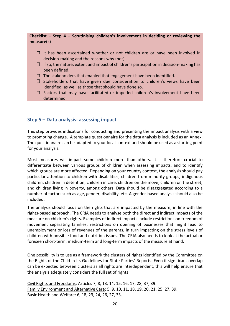## **Checklist – Step 4 – Scrutinising children's involvement in deciding or reviewing the measure(s)**

- $\Box$  It has been ascertained whether or not children are or have been involved in decision-making and the reasons why (not).
- $\Box$  If so, the nature, extent and impact of children's participation in decision-making has been defined.
- $\Box$  The stakeholders that enabled that engagement have been identified.
- $\square$  Stakeholders that have given due consideration to children's views have been identified, as well as those that should have done so.
- $\Box$  Factors that may have facilitated or impeded children's involvement have been determined.

## <span id="page-21-0"></span>**Step 5 – Data analysis: assessing impact**

This step provides indications for conducting and presenting the impact analysis with a view to promoting change. A template questionnaire for the data analysis is included as an Annex. The questionnaire can be adapted to your local context and should be used as a starting point for your analysis.

Most measures will impact some children more than others. It is therefore crucial to differentiate between various groups of children when assessing impacts, and to identify which groups are more affected. Depending on your country context, the analysis should pay particular attention to children with disabilities, children from minority groups, indigenous children, children in detention, children in care, children on the move, children on the street, and children living in poverty, among others. Data should be disaggregated according to a number of factors such as age, gender, disability, etc. A gender-based analysis should also be included.

The analysis should focus on the rights that are impacted by the measure, in line with the rights-based approach. The CRIA needs to analyse both the direct and indirect impacts of the measure on children's rights. Examples of indirect impacts include restrictions on freedom of movement separating families; restrictions on opening of businesses that might lead to unemployment or loss of revenues of the parents, in turn impacting on the stress levels of children with possible food and nutrition issues. The CRIA also needs to look at the actual or foreseen short-term, medium-term and long-term impacts of the measure at hand.

One possibility is to use as a framework the clusters of rights identified by the Committee on the Rights of the Child in its Guidelines for State Parties' Reports. Even if significant overlap can be expected between clusters as all rights are interdependent, this will help ensure that the analysis adequately considers the full set of rights:

Civil Rights and Freedoms: Articles 7, 8, 13, 14, 15, 16, 17, 28, 37, 39. Family Environment and Alternative Care: 5, 9, 10, 11, 18, 19, 20, 21, 25, 27, 39. Basic Health and Welfare: 6, 18, 23, 24, 26, 27, 33.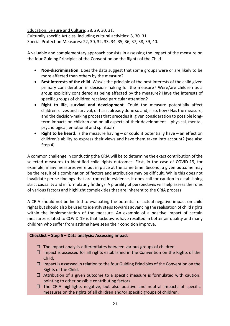Education, Leisure and Culture: 28, 29, 30, 31. Culturally specific Articles, including cultural activities: 8, 30, 31. Special Protection Measures: 22, 30, 32, 33, 34, 35, 36, 37, 38, 39, 40.

A valuable and complementary approach consists in assessing the impact of the measure on the four Guiding Principles of the Convention on the Rights of the Child:

- **Non-discrimination**. Does the data suggest that some groups were or are likely to be more affected than others by the measure?
- **Best interests of the child**. Was/is the principle of the best interests of the child given primary consideration in decision-making for the measure? Were/are children as a group explicitly considered as being affected by the measure? Have the interests of specific groups of children received particular attention?
- **Right to life, survival and development**. Could the measure potentially affect children's lives and survival, or has it already done so and, if so, how? Hasthe measure, and the decision-making process that precedes it, given consideration to possible longterm impacts on children and on all aspects of their development – physical, mental, psychological, emotional and spiritual?
- **Right to be heard**. Is the measure having or could it potentially have an effect on children's ability to express their views and have them taken into account? (see also Step 4)

A common challenge in conducting the CRIA will be to determine the exact contribution of the selected measures to identified child rights outcomes. First, in the case of COVID-19, for example, many measures were put in place at the same time. Second, a given outcome may be the result of a combination of factors and attribution may be difficult. While this does not invalidate per se findings that are rooted in evidence, it does call for caution in establishing strict causality and in formulating findings. A plurality of perspectives will help assess the roles of various factors and highlight complexities that are inherent to the CRIA process.

A CRIA should not be limited to evaluating the potential or actual negative impact on child rights but should also be used to identify steps towards advancing the realisation of child rights within the implementation of the measure. An example of a positive impact of certain measures related to COVID-19 is that lockdowns have resulted in better air quality and many children who suffer from asthma have seen their condition improve.

#### **Checklist – Step 5 – Data analysis: Assessing impact**

- $\Box$  The impact analysis differentiates between various groups of children.
- $\Box$  Impact is assessed for all rights established in the Convention on the Rights of the Child.
- $\Box$  Impact is assessed in relation to the four Guiding Principles of the Convention on the Rights of the Child.
- $\Box$  Attribution of a given outcome to a specific measure is formulated with caution, pointing to other possible contributing factors.
- $\Box$  The CRIA highlights negative, but also positive and neutral impacts of specific measures on the rights of all children and/or specific groups of children.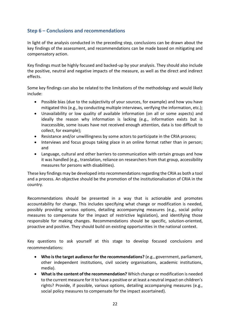## <span id="page-23-0"></span>**Step 6 – Conclusions and recommendations**

In light of the analysis conducted in the preceding step, conclusions can be drawn about the key findings of the assessment, and recommendations can be made based on mitigating and compensatory action.

Key findings must be highly focused and backed-up by your analysis. They should also include the positive, neutral and negative impacts of the measure, as well as the direct and indirect effects.

Some key findings can also be related to the limitations of the methodology and would likely include:

- Possible bias (due to the subjectivity of your sources, for example) and how you have mitigated this (e.g., by conducting multiple interviews, verifying the information, etc.);
- Unavailability or low quality of available information (on all or some aspects) and ideally the reason why information is lacking (e.g., information exists but is inaccessible, some issues have not received enough attention, data is too difficult to collect, for example);
- Resistance and/or unwillingness by some actors to participate in the CRIA process;
- Interviews and focus groups taking place in an online format rather than in person; and
- Language, cultural and other barriers to communication with certain groups and how it was handled (e.g., translation, reliance on researchers from that group, accessibility measures for persons with disabilities).

These key findings may be developed into recommendations regarding the CRIA as both a tool and a process. An objective should be the promotion of the institutionalisation of CRIA in the country.

Recommendations should be presented in a way that is actionable and promotes accountability for change. This includes specifying what change or modification is needed, possibly providing various options, detailing accompanying measures (e.g., social policy measures to compensate for the impact of restrictive legislation), and identifying those responsible for making changes. Recommendations should be specific, solution-oriented, proactive and positive. They should build on existing opportunities in the national context.

Key questions to ask yourself at this stage to develop focused conclusions and recommendations:

- **Who is the target audience for the recommendations?** (e.g., government, parliament, other independent institutions, civil society organisations, academic institutions, media).
- **What is the content of the recommendation?** Which change or modification is needed to the current measure for it to have a positive or at least a neutral impact on children's rights? Provide, if possible, various options, detailing accompanying measures (e.g., social policy measures to compensate for the impact ascertained).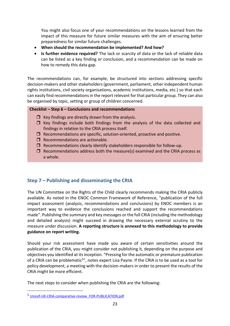You might also focus one of your recommendations on the lessons learned from the impact of this measure for future similar measures with the aim of ensuring better preparedness for similar future challenges.

- **When should the recommendation be implemented? And how?**
- **Is further evidence required?** The lack or scarcity of data or the lack of reliable data can be listed as a key finding or conclusion, and a recommendation can be made on how to remedy this data gap.

The recommendations can, for example, be structured into sections addressing specific decision-makers and other stakeholders (government, parliament, other independent human rights institutions, civil society organisations, academic institutions, media, etc.) so that each can easily find recommendations in the report relevant for that particular group. They can also be organised by topic, setting or group of children concerned.

## **Checklist – Step 6 – Conclusions and recommendations**

- $\Box$  Key findings are directly drawn from the analysis.
- $\Box$  Key findings include both findings from the analysis of the data collected and findings in relation to the CRIA process itself.
- $\Box$  Recommendations are specific, solution-oriented, proactive and positive.
- $\Box$  Recommendations are actionable.
- $\Box$  Recommendations clearly identify stakeholders responsible for follow-up.
- $\Box$  Recommendations address both the measure(s) examined and the CRIA process as a whole.

# <span id="page-24-0"></span>**Step 7 – Publishing and disseminating the CRIA**

The UN Committee on the Rights of the Child clearly recommends making the CRIA publicly available. As noted in the ENOC Common Framework of Reference, "publication of the full impact assessment (analysis, recommendations and conclusions) by ENOC members is an important way to evidence the conclusions reached and support the recommendations made". Publishing the summary and key messages or the full CRIA (including the methodology and detailed analysis) might succeed in drawing the necessary external scrutiny to the measure under discussion. **A reporting structure is annexed to this methodology to provide guidance on report writing.**

Should your risk assessment have made you aware of certain sensitivities around the publication of the CRIA, you might consider not publishing it, depending on the purpose and objectives you identified at itsinception. "Pressing for the automatic or premature publication of a CRIA can be problematic<sup>5</sup>", notes expert Lisa Payne. If the CRIA is to be used as a tool for policy development, a meeting with the decision-makers in order to present the results of the CRIA might be more efficient.

The next steps to consider when publishing the CRIA are the following:

<sup>5</sup> [Unicef-UK-CRIA-comparative-review\\_FOR-PUBLICATION.pdf](https://www.unicef.org.uk/wp-content/uploads/2017/09/Unicef-UK-CRIA-comparative-review_FOR-PUBLICATION.pdf)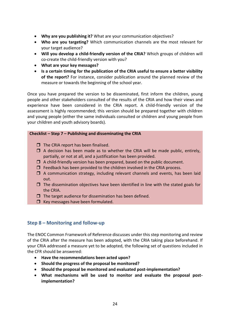- **Why are you publishing it?** What are your communication objectives?
- **Who are you targeting?** Which communication channels are the most relevant for your target audience?
- **Will you develop a child-friendly version of the CRIA?** Which groups of children will co-create the child-friendly version with you?
- **What are your key messages?**
- **Is a certain timing for the publication of the CRIA useful to ensure a better visibility of the report?** For instance, consider publication around the planned review of the measure or towards the beginning of the school year.

Once you have prepared the version to be disseminated, first inform the children, young people and other stakeholders consulted of the results of the CRIA and how their views and experience have been considered in the CRIA report. A child-friendly version of the assessment is highly recommended; this version should be prepared together with children and young people (either the same individuals consulted or children and young people from your children and youth advisory boards).

## **Checklist – Step 7 – Publishing and disseminating the CRIA**

- $\Box$  The CRIA report has been finalised.
- $\Box$  A decision has been made as to whether the CRIA will be made public, entirely, partially, or not at all, and a justification has been provided.
- $\Box$  A child-friendly version has been prepared, based on the public document.
- $\Box$  Feedback has been provided to the children involved in the CRIA process.
- $\Box$  A communication strategy, including relevant channels and events, has been laid out.
- $\Box$  The dissemination objectives have been identified in line with the stated goals for the CRIA.
- $\Box$  The target audience for dissemination has been defined.
- $\Box$  Key messages have been formulated.

## <span id="page-25-0"></span>**Step 8 – Monitoring and follow-up**

The ENOC Common Framework of Reference discusses under this step monitoring and review of the CRIA after the measure has been adopted, with the CRIA taking place beforehand. If your CRIA addressed a measure yet to be adopted, the following set of questions included in the CFR should be answered:

- **Have the recommendations been acted upon?**
- **Should the progress of the proposal be monitored?**
- **Should the proposal be monitored and evaluated post-implementation?**
- **What mechanisms will be used to monitor and evaluate the proposal postimplementation?**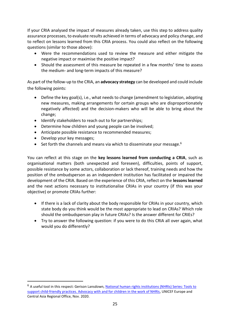If your CRIA analysed the impact of measures already taken, use this step to address quality assurance processes, to evaluate results achieved in terms of advocacy and policy change, and to reflect on lessons learned from this CRIA process. You could also reflect on the following questions (similar to those above):

- Were the recommendations used to review the measure and either mitigate the negative impact or maximise the positive impact?
- Should the assessment of this measure be repeated in a few months' time to assess the medium- and long-term impacts of this measure?

As part of the follow-up to the CRIA, an **advocacy strategy** can be developed and could include the following points:

- Define the key goal(s), i.e., what needs to change (amendment to legislation, adopting new measures, making arrangements for certain groups who are disproportionately negatively affected) and the decision-makers who will be able to bring about the change;
- Identify stakeholders to reach out to for partnerships;
- Determine how children and young people can be involved;
- Anticipate possible resistance to recommended measures;
- Develop your key messages;
- Set forth the channels and means via which to disseminate your message.<sup>6</sup>

You can reflect at this stage on the **key lessons learned from conducting a CRIA**, such as organisational matters (both unexpected and foreseen), difficulties, points of support, possible resistance by some actors, collaboration or lack thereof, training needs and how the position of the ombudsperson as an independent institution has facilitated or impaired the development of the CRIA. Based on the experience of this CRIA, reflect on the **lessons learned** and the next actions necessary to institutionalise CRIAs in your country (if this was your objective) or promote CRIAs further:

- If there is a lack of clarity about the body responsible for CRIAs in your country, which state body do you think would be the most appropriate to lead on CRIAs? Which role should the ombudsperson play in future CRIAs? Is the answer different for CRIEs?
- Try to answer the following question: if you were to do this CRIA all over again, what would you do differently?

<sup>&</sup>lt;sup>6</sup> A useful tool in this respect: Gerison Lansdown, National human rights institutions (NHRIs) Series: Tools to [support child-friendly practices. Advocacy with and for children in the work of NHRIs,](https://www.unicef.org/eca/media/15321/file) UNICEF Europe and Central Asia Regional Office, Nov. 2020.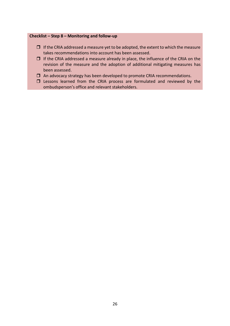#### **Checklist – Step 8 – Monitoring and follow-up**

- $\Box$  If the CRIA addressed a measure yet to be adopted, the extent to which the measure takes recommendations into account has been assessed.
- $\Box$  If the CRIA addressed a measure already in place, the influence of the CRIA on the revision of the measure and the adoption of additional mitigating measures has been assessed.
- $\Box$  An advocacy strategy has been developed to promote CRIA recommendations.
- $\square$  Lessons learned from the CRIA process are formulated and reviewed by the ombudsperson's office and relevant stakeholders.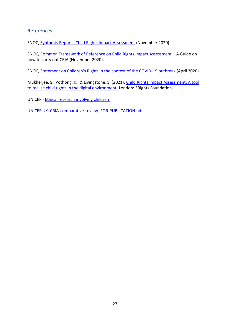## <span id="page-28-0"></span>**References**

ENOC, Synthesis Report - [Child Rights Impact Assessment](http://enoc.eu/wp-content/uploads/2020/12/ENOC-Synthesis-Report-on-CRIA-FV.pdf) (November 2020).

ENOC, [Common Framework of Reference on Child Rights Impact Assessment](http://enoc.eu/wp-content/uploads/2020/12/ENOC-Common-Framework-of-Reference-FV.pdf) – A Guide on how to carry out CRIA (November 2020).

ENOC, [Statement on Children's Rights in the context of the COVID](http://enoc.eu/wp-content/uploads/2020/04/ENOC-Bureau-statement-on-CR-in-the-context-of-the-COVID-19-outbreak-FV.pdf)-19 outbreak (April 2020).

Mukherjee, S., Pothong, K., & Livingstone, S. (2021). [Child Rights Impact Assessment: A tool](https://digitalfuturescommission.org.uk/wp-content/uploads/2021/03/CRIA-Report.pdf)  [to realise child rights in the digital environment.](https://digitalfuturescommission.org.uk/wp-content/uploads/2021/03/CRIA-Report.pdf) London: 5Rights Foundation.

UNICEF - [Ethical research involving children](https://www.unicef-irc.org/publications/706-ethical-research-involving-children.html)

UNICEF UK, [CRIA-comparative-review\\_FOR-PUBLICATION.pdf](https://www.unicef.org.uk/wp-content/uploads/2017/09/Unicef-UK-CRIA-comparative-review_FOR-PUBLICATION.pdf)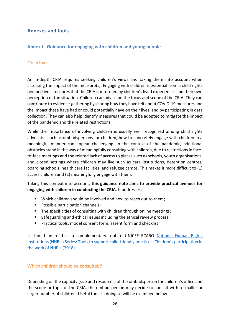## <span id="page-29-0"></span>**Annexes and tools**

## <span id="page-29-1"></span>**Annex I - Guidance for engaging with children and young people**

## **Objectives**

An in-depth CRIA requires seeking children's views and taking them into account when assessing the impact of the measure(s). Engaging with children is essential from a child rights perspective. It ensures that the CRIA is informed by children's lived experiences and their own perception of the situation. Children can advise on the focus and scope of the CRIA. They can contribute to evidence-gathering by sharing how they have felt about COVID-19 measures and the impact these have had or could potentially have on their lives, and by participating in data collection. They can also help identify measures that could be adopted to mitigate the impact of the pandemic and the related restrictions.

While the importance of involving children is usually well recognised among child rights advocates such as ombudspersons for children, how to concretely engage with children in a meaningful manner can appear challenging. In the context of the pandemic, additional obstacles stand in the way of meaningfully consulting with children, due to restrictions in faceto-face meetings and the related lack of access to places such as schools, youth organisations, and closed settings where children may live such as care institutions, detention centres, boarding schools, health care facilities, and refugee camps. This makes it more difficult to (1) access children and (2) meaningfully engage with them.

Taking this context into account, **this guidance note aims to provide practical avenues for engaging with children in conducting the CRIA**. It addresses:

- Which children should be involved and how to reach out to them;
- Possible participation channels;
- The specificities of consulting with children through online meetings;
- Safeguarding and ethical issues including the ethical review process;
- Practical tools: model consent form, assent form and checklist.

It should be read as a complementary tool to UNICEF ECARO [National Human Rights](https://www.unicef.org/eca/sites/unicef.org.eca/files/2019-02/NHRI_Participation.pdf)  [Institutions \(NHRIs\) Series: Tools to support child-friendly practices. Chi](https://www.unicef.org/eca/sites/unicef.org.eca/files/2019-02/NHRI_Participation.pdf)ldren's participation in [the work of NHRIs \(2018\)](https://www.unicef.org/eca/sites/unicef.org.eca/files/2019-02/NHRI_Participation.pdf)

## Which children should be consulted?

Depending on the capacity (size and resources) of the ombudsperson for children's office and the scope or topic of the CRIA, the ombudsperson may decide to consult with a smaller or larger number of children. Useful tools in doing so will be examined below.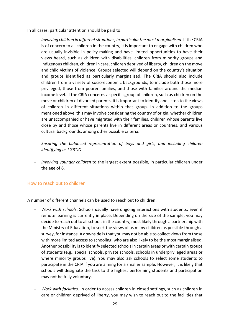In all cases, particular attention should be paid to:

- *Involving children in different situations, in particular the most marginalised*. If the CRIA is of concern to all children in the country, it is important to engage with children who are usually invisible in policy-making and have limited opportunities to have their views heard, such as children with disabilities, children from minority groups and Indigenous children, children in care, children deprived of liberty, children on the move and child victims of violence. Groups selected will depend on the country's situation and groups identified as particularly marginalised. The CRIA should also include children from a variety of socio-economic backgrounds, to include both those more privileged, those from poorer families, and those with families around the median income level. If the CRIA concerns a specific group of children, such as children on the move or children of divorced parents, it is important to identify and listen to the views of children in different situations within that group. In addition to the groups mentioned above, this may involve considering the country of origin, whether children are unaccompanied or have migrated with their families, children whose parents live close by and those whose parents live in different areas or countries, and various cultural backgrounds, among other possible criteria.
- *Ensuring the balanced representation of boys and girls, and including children identifying as LGBTIQ*.
- *Involving younger children* to the largest extent possible, in particular children under the age of 6.

## How to reach out to children

A number of different channels can be used to reach out to children:

- *Work with schools*. Schools usually have ongoing interactions with students, even if remote learning is currently in place. Depending on the size of the sample, you may decide to reach out to all schools in the country, most likely through a partnership with the Ministry of Education, to seek the views of as many children as possible through a survey, for instance. A downside is that you may not be able to collect views from those with more limited access to schooling, who are also likely to be the most marginalised. Another possibility is to identify selected schools in certain areas or with certain groups of students (e.g., special schools, private schools, schools in underprivileged areas or where minority groups live). You may also ask schools to select some students to participate in the CRIA if you are aiming for a smaller sample. However, it is likely that schools will designate the task to the highest performing students and participation may not be fully voluntary.
- *Work with facilities*. In order to access children in closed settings, such as children in care or children deprived of liberty, you may wish to reach out to the facilities that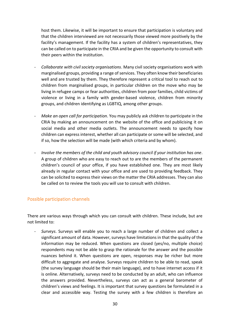host them. Likewise, it will be important to ensure that participation is voluntary and that the children interviewed are not necessarily those viewed more positively by the facility's management. If the facility has a system of children's representatives, they can be called on to participate in the CRIA and be given the opportunity to consult with their peers within the institution.

- *Collaborate with civil society organisations*. Many civil society organisations work with marginalised groups, providing a range of services. They often know their beneficiaries well and are trusted by them. They therefore represent a critical tool to reach out to children from marginalised groups, in particular children on the move who may be living in refugee camps or fear authorities, children from poor families, child victims of violence or living in a family with gender-based violence, children from minority groups, and children identifying as LGBTIQ, among other groups.
- *Make an open call for participation*. You may publicly ask children to participate in the CRIA by making an announcement on the website of the office and publicising it on social media and other media outlets. The announcement needs to specify how children can express interest, whether all can participate or some will be selected, and if so, how the selection will be made (with which criteria and by whom).
- *Involve the members of the child and youth advisory council if your institution has one*. A group of children who are easy to reach out to are the members of the permanent children's council of your office, if you have established one. They are most likely already in regular contact with your office and are used to providing feedback. They can be solicited to express their views on the matter the CRIA addresses. They can also be called on to review the tools you will use to consult with children.

## Possible participation channels

There are various ways through which you can consult with children. These include, but are not limited to:

- *Surveys*. Surveys will enable you to reach a large number of children and collect a significant amount of data. However, surveys have limitations in that the quality of the information may be reduced. When questions are closed (yes/no, multiple choice) respondents may not be able to grasp the rationale for the answer and the possible nuances behind it. When questions are open, responses may be richer but more difficult to aggregate and analyse. Surveys require children to be able to read, speak (the survey language should be their main language), and to have internet access if it is online. Alternatively, surveys need to be conducted by an adult, who can influence the answers provided. Nevertheless, surveys can act as a general barometer of children's views and feelings. It is important that survey questions be formulated in a clear and accessible way. Testing the survey with a few children is therefore an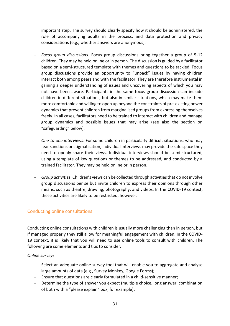important step. The survey should clearly specify how it should be administered, the role of accompanying adults in the process, and data protection and privacy considerations (e.g., whether answers are anonymous).

- *Focus group discussions*. Focus group discussions bring together a group of 5-12 children. They may be held online or in person. The discussion is guided by a facilitator based on a semi-structured template with themes and questions to be tackled. Focus group discussions provide an opportunity to "unpack" issues by having children interact both among peers and with the facilitator. They are therefore instrumental in gaining a deeper understanding of issues and uncovering aspects of which you may not have been aware. Participants in the same focus group discussion can include children in different situations, but also in similar situations, which may make them more comfortable and willing to open up beyond the constraints of pre-existing power dynamics that prevent children from marginalised groups from expressing themselves freely. In all cases, facilitators need to be trained to interact with children and manage group dynamics and possible issues that may arise (see also the section on "safeguarding" below).
- *One-to-one interviews*. For some children in particularly difficult situations, who may fear sanctions or stigmatisation, individual interviews may provide the safe space they need to openly share their views. Individual interviews should be semi-structured, using a template of key questions or themes to be addressed, and conducted by a trained facilitator. They may be held online or in person.
- *Group activities*. Children's views can be collected through activities that do not involve group discussions per se but invite children to express their opinions through other means, such as theatre, drawing, photography, and videos. In the COVID-19 context, these activities are likely to be restricted, however.

## Conducting online consultations

Conducting online consultations with children is usually more challenging than in person, but if managed properly they still allow for meaningful engagement with children. In the COVID-19 context, it is likely that you will need to use online tools to consult with children. The following are some elements and tips to consider.

## *Online surveys*

- Select an adequate online survey tool that will enable you to aggregate and analyse large amounts of data (e.g., Survey Monkey, Google Forms);
- Ensure that questions are clearly formulated in a child-sensitive manner;
- Determine the type of answer you expect (multiple choice, long answer, combination of both with a "please explain" box, for example);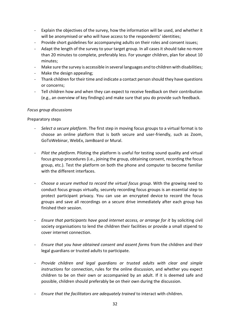- Explain the objectives of the survey, how the information will be used, and whether it will be anonymised or who will have access to the respondents' identities;
- Provide short guidelines for accompanying adults on their roles and consent issues;
- Adapt the length of the survey to your target group. In all cases it should take no more than 20 minutes to complete, preferably less. For younger children, plan for about 10 minutes;
- Make sure the survey is accessible in several languages and to children with disabilities;
- Make the design appealing;
- Thank children for their time and indicate a contact person should they have questions or concerns;
- Tell children how and when they can expect to receive feedback on their contribution (e.g., an overview of key findings) and make sure that you do provide such feedback.

#### *Focus group discussions*

#### Preparatory steps

- *Select a secure platform*. The first step in moving focus groups to a virtual format is to choose an online platform that is both secure and user-friendly, such as Zoom, GoToWebinar, WebEx, JamBoard or Mural.
- *Pilot the platform*. Piloting the platform is useful for testing sound quality and virtual focus group procedures (i.e., joining the group, obtaining consent, recording the focus group, etc.). Test the platform on both the phone and computer to become familiar with the different interfaces.
- *Choose a secure method to record the virtual focus group*. With the growing need to conduct focus groups virtually, securely recording focus groups is an essential step to protect participant privacy. You can use an encrypted device to record the focus groups and save all recordings on a secure drive immediately after each group has finished their session.
- *Ensure that participants have good internet access, or arrange for it* by soliciting civil society organisations to lend the children their facilities or provide a small stipend to cover internet connection.
- *Ensure that you have obtained consent and assent forms* from the children and their legal guardians or trusted adults to participate.
- *Provide children and legal guardians or trusted adults with clear and simple instructions* for connection, rules for the online discussion, and whether you expect children to be on their own or accompanied by an adult. If it is deemed safe and possible, children should preferably be on their own during the discussion.
- *Ensure that the facilitators are adequately trained* to interact with children.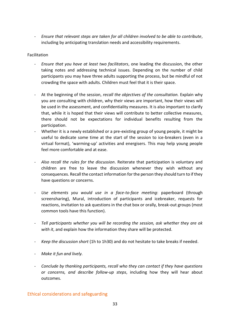- *Ensure that relevant steps are taken for all children involved to be able to contribute*, including by anticipating translation needs and accessibility requirements.

## Facilitation

- *Ensure that you have at least two facilitators*, one leading the discussion, the other taking notes and addressing technical issues. Depending on the number of child participants you may have three adults supporting the process, but be mindful of not crowding the space with adults. Children must feel that it is their space.
- At the beginning of the session, *recall the objectives of the consultation.* Explain why you are consulting with children, why their views are important, how their views will be used in the assessment, and confidentiality measures. It is also important to clarify that, while it is hoped that their views will contribute to better collective measures, there should not be expectations for individual benefits resulting from the participation.
- Whether it is a newly established or a pre-existing group of young people, it might be useful to dedicate some time at the start of the session to ice-breakers (even in a virtual format), 'warming-up' activities and energisers. This may help young people feel more comfortable and at ease.
- *Also recall the rules for the discussion*. Reiterate that participation is voluntary and children are free to leave the discussion whenever they wish without any consequences. Recall the contact information for the person they should turn to if they have questions or concerns.
- *Use elements you would use in a face-to-face meeting*: paperboard (through screensharing), Mural, introduction of participants and icebreaker, requests for reactions, invitation to ask questions in the chat box or orally, break-out groups (most common tools have this function).
- *Tell participants whether you will be recording the session, ask whether they are ok with it*, and explain how the information they share will be protected.
- *Keep the discussion short* (1h to 1h30) and do not hesitate to take breaks if needed.
- *Make it fun and lively.*
- *Conclude by thanking participants, recall who they can contact if they have questions or concerns, and describe follow-up steps*, including how they will hear about outcomes.

## Ethical considerations and safeguarding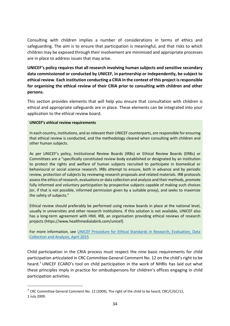Consulting with children implies a number of considerations in terms of ethics and safeguarding. The aim is to ensure that participation is meaningful, and that risks to which children may be exposed through their involvement are minimised and appropriate processes are in place to address issues that may arise.

**UNICEF's policy requires that all research involving human subjects and sensitive secondary data commissioned or conducted by UNICEF, in partnership or independently, be subject to ethical review**. **Each institution conducting a CRIA in the context of this project is responsible for organising the ethical review of their CRIA prior to consulting with children and other persons.** 

This section provides elements that will help you ensure that consultation with children is ethical and appropriate safeguards are in place. These elements can be integrated into your application to the ethical review board.

#### **UNICEF's ethical review requirements**

In each country, institutions, and as relevant their UNICEF counterparts, are responsible for ensuring that ethical review is conducted, and the methodology cleared when consulting with children and other human subjects.

As per UNICEF's policy, Institutional Review Boards (IRBs) or Ethical Review Boards (ERBs) or Committees are a "specifically constituted review body established or designated by an institution to protect the rights and welfare of human subjects recruited to participate in biomedical or behavioural or social science research. IRBs attempt to ensure, both in advance and by periodic review, protection of subjects by reviewing research proposals and related materials. IRB protocols assess the ethics of research, evaluations or data collection and analysis and their methods, promote fully informed and voluntary participation by prospective subjects capable of making such choices (or, if that is not possible, informed permission given by a suitable proxy), and seeks to maximize the safety of subjects."

Ethical review should preferably be performed using review boards in place at the national level, usually in universities and other research institutions. If this solution is not available, UNICEF also has a long-term agreement with HML IRB, an organisation providing ethical reviews of research projects (https://www.healthmedialabirb.com/unicef).

For more information, see UNICEF Procedure for Ethical Standards in Research, Evaluation, Data [Collection and Analysis, April 2015](https://www.unicef.org/media/54796/file)

Child participation in the CRIA process must respect the nine basic requirements for child participation articulated in CRC Committee General Comment No. 12 on the child's right to be heard.<sup>7</sup> UNICEF ECARO's tool on child participation in the work of NHRIs has laid out what these principles imply in practice for ombudspersons for children's offices engaging in child participation activities.

<sup>&</sup>lt;sup>7</sup> CRC Committee General Comment No. 12 (2009), The right of the child to be heard, CRC/C/GC/12, 1 July 2009.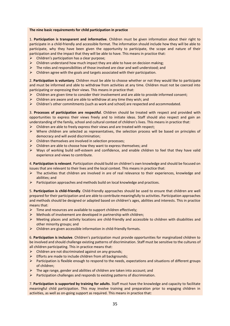#### **The nine basic requirements for child participation in practice**

1. **Participation is transparent and informative**. Children must be given information about their right to participate in a child-friendly and accessible format. The information should include how they will be able to participate, why they have been given the opportunity to participate, the scope and nature of their participation and the impact that they will be able to have. This means in practice that:

- $\triangleright$  Children's participation has a clear purpose;
- $\triangleright$  Children understand how much impact they are able to have on decision making;
- $\triangleright$  The roles and responsibilities of those involved are clear and well understood; and  $\triangleright$  Children agree with the goals and targets associated with their participation.
- ➢ Children agree with the goals and targets associated with their participation.

2. **Participation is voluntary**. Children must be able to choose whether or not they would like to participate and must be informed and able to withdraw from activities at any time. Children must not be coerced into participating or expressing their views. This means in practice that:

- $\triangleright$  Children are given time to consider their involvement and are able to provide informed consent;
- $\triangleright$  Children are aware and are able to withdraw at any time they wish; and
- ➢ Children's other commitments (such as work and school) are respected and accommodated.

3. **Processes of participation are respectful**. Children should be treated with respect and provided with opportunities to express their views freely and to initiate ideas. Staff should also respect and gain an understanding of the family, school and cultural context of children's lives. This means in practice that:

- ➢ Children are able to freely express their views and are treated with respect;
- $\triangleright$  Where children are selected as representatives, the selection process will be based on principles of democracy and will avoid discrimination;
- ➢ Children themselves are involved in selection processes;
- ➢ Children are able to choose how they want to express themselves; and
- ➢ Ways of working build self-esteem and confidence, and enable children to feel that they have valid experience and views to contribute.

4. **Participation is relevant**. Participation should build on children's own knowledge and should be focused on issues that are relevant to their lives and the local context. This means in practice that:

- ➢ The activities that children are involved in are of real relevance to their experiences, knowledge and abilities; and
- $\triangleright$  Participation approaches and methods build on local knowledge and practices.

5. **Participation is child-friendly**. Child-friendly approaches should be used to ensure that children are well prepared for their participation and are able to contribute meaningfully to activities. Participation approaches and methods should be designed or adapted based on children's ages, abilities and interests. This in practice means that:

- $\triangleright$  Time and resources are available to support children effectively;
- $\triangleright$  Methods of involvement are developed in partnership with children;
- ➢ Meeting places and activity locations are child-friendly and accessible to children with disabilities and other minority groups; and
- ➢ Children are given accessible information in child-friendly formats.

6. **Participation is inclusive**. Children's participation must provide opportunities for marginalized children to be involved and should challenge existing patterns of discrimination. Staff must be sensitive to the cultures of all children participating. This in practice means that:

- ➢ Children are not discriminated against on any grounds;
- ➢ Efforts are made to include children from all backgrounds;
- ➢ Participation is flexible enough to respond to the needs, expectations and situations of different groups of children;
- $\triangleright$  The age range, gender and abilities of children are taken into account; and
- ➢ Participation challenges and responds to existing patterns of discrimination.

7. **Participation is supported by training for adults**. Staff must have the knowledge and capacity to facilitate meaningful child participation. This may involve training and preparation prior to engaging children in activities, as well as on-going support as required. This means in practice that: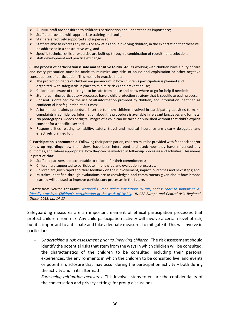- ➢ All NHRI staff are sensitized to children's participation and understand its importance;
- $\triangleright$  Staff are provided with appropriate training and tools;
- $\triangleright$  Staff are effectively supported and supervised;
- ➢ Staff are able to express any views or anxieties about involving children, in the expectation that these will be addressed in a constructive way; and
- $\triangleright$  Specific technical skills or expertise are built up through a combination of recruitment, selection,<br>  $\triangleright$  staff development and practice exchange.
- staff development and practice exchange.

8. **The process of participation is safe and sensitive to risk**. Adults working with children have a duty of care and every precaution must be made to minimize any risks of abuse and exploitation or other negative consequences of participation. This means in practice that:

- $\triangleright$  The protection rights of children are paramount in how children's participation is planned and organized, with safeguards in place to minimize risks and prevent abuse;
- $\triangleright$  Children are aware of their right to be safe from abuse and know where to go for help if needed;
- ➢ Staff organizing participatory processes have a child protection strategy that is specific to each process;
- $\triangleright$  Consent is obtained for the use of all information provided by children, and information identified as confidential is safeguarded at all times;
- $\triangleright$  A formal complaints procedure is set up to allow children involved in participatory activities to make complaints in confidence. Information about the procedure is available in relevant languages and formats;
- ➢ No photographs, videos or digital images of a child can be taken or published without that child's explicit consent for a specific use; and
- ➢ Responsibilities relating to liability, safety, travel and medical insurance are clearly delegated and effectively planned for.

9. **Participation is accountable**. Following their participation, children must be provided with feedback and/or follow up regarding: how their views have been interpreted and used; how they have influenced any outcomes; and, where appropriate, how they can be involved in follow-up processes and activities. This means in practice that:

- $\triangleright$  Staff and partners are accountable to children for their commitments;
- $\triangleright$  Children are supported to participate in follow-up and evaluation processes;
- $\triangleright$  Children are given rapid and clear feedback on their involvement, impact, outcomes and next steps; and
- ➢ Mistakes identified through evaluations are acknowledged and commitments given about how lessons learned will be used to improve participatory processes in the future.

*Extract from Gerison Lansdown, [National Human Rights Institutions \(NHRIs\) Series: Tools to support child](https://www.unicef.org/eca/sites/unicef.org.eca/files/2019-02/NHRI_Participation.pdf)[friendly practices. Children's participation in the work of NHRIs](https://www.unicef.org/eca/sites/unicef.org.eca/files/2019-02/NHRI_Participation.pdf), UNICEF Europe and Central Asia Regional Office, 2018, pp. 14-17*

Safeguarding measures are an important element of ethical participation processes that protect children from risk. Any child participation activity will involve a certain level of risk, but it is important to anticipate and take adequate measures to mitigate it. This will involve in particular:

- *Undertaking a risk assessment prior to involving children*. The risk assessment should identify the potential risks that stem from the ways in which children will be consulted, the characteristics of the children to be consulted, including their personal experiences, the environments in which the children to be consulted live, and events or potential disclosure that may occur during the participation activity – both during the activity and in its aftermath.
- *Foreseeing mitigation measures*. This involves steps to ensure the confidentiality of the conversation and privacy settings for group discussions.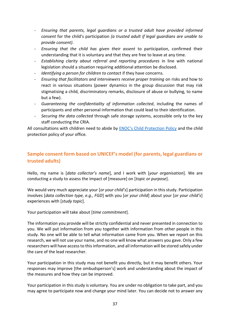- *Ensuring that parents, legal guardians or a trusted adult have provided informed consent* for the child's participation *(a trusted adult if legal guardians are unable to provide consent)*.
- *Ensuring that the child has given their assent* to participation, confirmed their understanding that it is voluntary and that they are free to leave at any time.
- *Establishing clarity about referral and reporting procedures* in line with national legislation should a situation requiring additional attention be disclosed.
- *Identifying a person for children to contact* if they have concerns.
- *Ensuring that facilitators and interviewers receive proper training* on risks and how to react in various situations (power dynamics in the group discussion that may risk stigmatising a child, discriminatory remarks, disclosure of abuse or bullying, to name but a few).
- *Guaranteeing the confidentiality of information collected*, including the names of participants and other personal information that could lead to their identification.
- *Securing the data collected* through safe storage systems, accessible only to the key staff conducting the CRIA.

All consultations with children need to abide by **[ENOC's Child Protection Policy](https://www.google.com/url?sa=t&rct=j&q=&esrc=s&source=web&cd=&ved=2ahUKEwjZxq_Bz7DvAhUH_qQKHQoJAVgQFjAAegQIAhAD&url=http%3A%2F%2Fenoc.eu%2Fwp-content%2Fuploads%2F2021%2F01%2FChild-protection-policy-2021.pdf&usg=AOvVaw0Hj5wEKjOur5YNR-t9Jcm_) and the child** protection policy of your office.

# **Sample consent form based on UNICEF's model (for parents, legal guardians or trusted adults)**

Hello, my name is [*data collector's name*], and I work with [*your organisation*]. We are conducting a study to assess the impact of [measure] on [*topic or purpose*].

We would very much appreciate your *[or your child's]* participation in this study. Participation involves [*data collection type, e.g., FGD*] with you [*or your child*] about your [*or your child's*] experiences with [*study topic*].

Your participation will take about [*time commitment*].

The information you provide will be strictly confidential and never presented in connection to you. We will put information from you together with information from other people in this study. No one will be able to tell what information came from you. When we report on this research, we will not use your name, and no one will know what answers you gave. Only a few researchers will have access to this information, and all information will be stored safely under the care of the lead researcher.

Your participation in this study may not benefit you directly, but it may benefit others. Your responses may improve [the ombudsperson's] work and understanding about the impact of the measures and how they can be improved.

Your participation in this study is voluntary. You are under no obligation to take part, and you may agree to participate now and change your mind later. You can decide not to answer any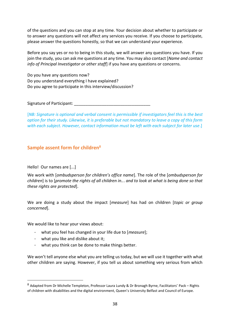of the questions and you can stop at any time. Your decision about whether to participate or to answer any questions will not affect any services you receive. If you choose to participate, please answer the questions honestly, so that we can understand your experience.

Before you say yes or no to being in this study, we will answer any questions you have. If you join the study, you can ask me questions at any time. You may also contact [*Name and contact info of Principal Investigator or other staff*] if you have any questions or concerns.

Do you have any questions now? Do you understand everything I have explained? Do you agree to participate in this interview/discussion?

Signature of Participant:

[*NB: Signature is optional and verbal consent is permissible if investigators feel this is the best option for their study. Likewise, it is preferable but not mandatory to leave a copy of this form with each subject. However, contact information must be left with each subject for later use*.]

# **Sample assent form for children**<sup>8</sup>

Hello! Our names are [...]

We work with [*ombudsperson for children's office name*]. The role of the [*ombudsperson for children*] is to [*promote the rights of all children in..*. *and to look at what is being done so that these rights are protected*].

We are doing a study about the impact [*measure*] has had on children [*topic or group concerned*].

We would like to hear your views about:

- what you feel has changed in your life due to [*measure*];
- what you like and dislike about it;
- what you think can be done to make things better.

We won't tell anyone else what you are telling us today, but we will use it together with what other children are saying. However, if you tell us about something very serious from which

<sup>8</sup> Adapted from Dr Michelle Templeton, Professor Laura Lundy & Dr Bronagh Byrne, Facilitators' Pack - Rights of children with disabilities and the digital environment, Queen's University Belfast and Council of Europe.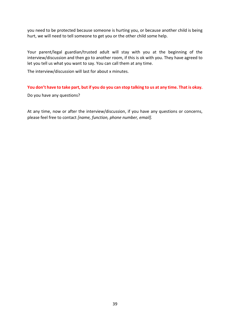you need to be protected because someone is hurting you, or because another child is being hurt, we will need to tell someone to get you or the other child some help.

Your parent/legal guardian/trusted adult will stay with you at the beginning of the interview/discussion and then go to another room, if this is ok with you. They have agreed to let you tell us what you want to say. You can call them at any time.

The interview/discussion will last for about x minutes.

#### **You don't have to take part, but if you do you can stop talking to us at any time. That is okay.**

Do you have any questions?

At any time, now or after the interview/discussion, if you have any questions or concerns, please feel free to contact *[name, function, phone number, email].*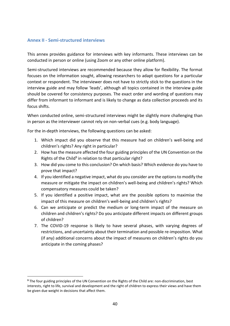## <span id="page-41-0"></span>**Annex II - Semi-structured interviews**

This annex provides guidance for interviews with key informants. These interviews can be conducted in person or online (using Zoom or any other online platform).

Semi-structured interviews are recommended because they allow for flexibility. The format focuses on the information sought, allowing researchers to adapt questions for a particular context or respondent. The interviewer does not have to strictly stick to the questions in the interview guide and may follow 'leads', although all topics contained in the interview guide should be covered for consistency purposes. The exact order and wording of questions may differ from informant to informant and is likely to change as data collection proceeds and its focus shifts.

When conducted online, semi-structured interviews might be slightly more challenging than in person as the interviewer cannot rely on non-verbal cues (e.g. body language).

For the in-depth interviews, the following questions can be asked:

- 1. Which impact did you observe that this measure had on children's well-being and children's rights? Any right in particular?
- 2. How has the measure affected the four guiding principles of the UN Convention on the Rights of the Child<sup>9</sup> in relation to that particular right?
- 3. How did you come to this conclusion? On which basis? Which evidence do you have to prove that impact?
- 4. If you identified a negative impact, what do you consider are the options to modify the measure or mitigate the impact on children's well-being and children's rights? Which compensatory measures could be taken?
- 5. If you identified a positive impact, what are the possible options to maximise the impact of this measure on children's well-being and children's rights?
- 6. Can we anticipate or predict the medium or long-term impact of the measure on children and children's rights? Do you anticipate different impacts on different groups of children?
- 7. The COVID-19 response is likely to have several phases, with varying degrees of restrictions, and uncertainty about their termination and possible re-imposition. What (if any) additional concerns about the impact of measures on children's rights do you anticipate in the coming phases?

**<sup>9</sup>** The four guiding principles of the UN Convention on the Rights of the Child are: non-discrimination, best interests, right to life, survival and development and the right of children to express their views and have them be given due weight in decisions that affect them.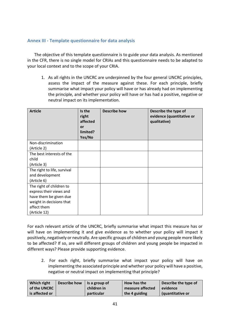## <span id="page-42-0"></span>**Annex III - Template questionnaire for data analysis**

The objective of this template questionnaire is to guide your data analysis. As mentioned in the CFR, there is no single model for CRIAs and this questionnaire needs to be adapted to your local context and to the scope of your CRIA.

1. As all rights in the UNCRC are underpinned by the four general UNCRC principles, assess the impact of the measure against these. For each principle, briefly summarise what impact your policy will have or has already had on implementing the principle, and whether your policy will have or has had a positive, negative or neutral impact on its implementation.

| <b>Article</b>              | Is the<br>right<br>affected<br>or<br>limited?<br>Yes/No | <b>Describe how</b> | Describe the type of<br>evidence (quantitative or<br>qualitative) |
|-----------------------------|---------------------------------------------------------|---------------------|-------------------------------------------------------------------|
| Non-discrimination          |                                                         |                     |                                                                   |
| (Article 2)                 |                                                         |                     |                                                                   |
| The best interests of the   |                                                         |                     |                                                                   |
| child                       |                                                         |                     |                                                                   |
| (Article 3)                 |                                                         |                     |                                                                   |
| The right to life, survival |                                                         |                     |                                                                   |
| and development             |                                                         |                     |                                                                   |
| (Article 6)                 |                                                         |                     |                                                                   |
| The right of children to    |                                                         |                     |                                                                   |
| express their views and     |                                                         |                     |                                                                   |
| have them be given due      |                                                         |                     |                                                                   |
| weight in decisions that    |                                                         |                     |                                                                   |
| affect them                 |                                                         |                     |                                                                   |
| (Article 12)                |                                                         |                     |                                                                   |

For each relevant article of the UNCRC, briefly summarise what impact this measure has or will have on implementing it and give evidence as to whether your policy will impact it positively, negatively or neutrally. Are specific groups of children and young people more likely to be affected? If so, are will different groups of children and young people be impacted in different ways? Please provide supporting evidence.

2. For each right, briefly summarise what impact your policy will have on implementing the associated principle and whether your policy will have a positive, negative or neutral impact on implementing that principle?

| Which right    | Describe how | $\vert$ is a group of | How has the      | Describe the type of |
|----------------|--------------|-----------------------|------------------|----------------------|
| of the UNCRC   |              | children in           | measure affected | evidence             |
| is affected or |              | particular            | the 4 guiding    | (quantitative or     |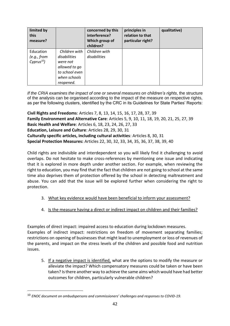| limited by<br>this<br>measure?            |                                                                                                           | concerned by this<br>interference?<br>Which group of<br>children? | principles in<br>relation to that<br>particular right? | qualitative) |
|-------------------------------------------|-----------------------------------------------------------------------------------------------------------|-------------------------------------------------------------------|--------------------------------------------------------|--------------|
| Education<br>(e.g., from<br>$Cyprus^{10}$ | Children with<br>disabilities<br>were not<br>allowed to go<br>to school even<br>when schools<br>reopened. | Children with<br>disabilities                                     |                                                        |              |

*If the CRIA examines the impact of one or several measures on children's rights*, the structure of the analysis can be organised according to the impact of the measure on respective rights, as per the following clusters, identified by the CRC in its Guidelines for State Parties' Reports:

**Civil Rights and Freedoms**: Articles 7, 8, 13, 14, 15, 16, 17, 28, 37, 39 **Family Environment and Alternative Care**: Articles 5, 9, 10, 11, 18, 19, 20, 21, 25, 27, 39 **Basic Health and Welfare**: Articles 6, 18, 23, 24, 26, 27, 33 **Education, Leisure and Culture**: Articles 28, 29, 30, 31 **Culturally specific articles, including cultural activities**: Articles 8, 30, 31 **Special Protection Measures:** Articles 22, 30, 32, 33, 34, 35, 36, 37, 38, 39, 40

Child rights are indivisible and interdependent so you will likely find it challenging to avoid overlaps. Do not hesitate to make cross-references by mentioning one issue and indicating that it is explored in more depth under another section. For example, when reviewing the right to education, you may find that the fact that children are not going to school at the same time also deprives them of protection offered by the school in detecting maltreatment and abuse. You can add that the issue will be explored further when considering the right to protection.

- 3. What key evidence would have been beneficial to inform your assessment?
- 4. Is the measure having a direct or indirect impact on children and their families?

Examples of direct impact: impaired access to education during lockdown measures. Examples of indirect impact: restrictions on freedom of movement separating families; restrictions on opening of businesses that might lead to unemployment or loss of revenues of the parents, and impact on the stress levels of the children and possible food and nutrition issues.

5. If a negative impact is identified, what are the options to modify the measure or alleviate the impact? Which compensatory measures could be taken or have been taken? Is there another way to achieve the same aims which would have had better outcomes for children, particularly vulnerable children?

<sup>10</sup> *ENOC document on ombudspersons and commissioners' challenges and responses to COVID-19.*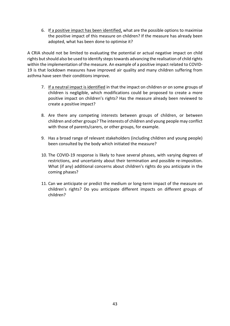6. If a positive impact has been identified, what are the possible options to maximise the positive impact of this measure on children? If the measure has already been adopted, what has been done to optimise it?

A CRIA should not be limited to evaluating the potential or actual negative impact on child rights but should also be used to identify steps towards advancing the realisation of child rights within the implementation of the measure. An example of a positive impact related to COVID-19 is that lockdown measures have improved air quality and many children suffering from asthma have seen their conditions improve.

- 7. If a neutral impact is identified in that the impact on children or on some groups of children is negligible, which modifications could be proposed to create a more positive impact on children's rights? Has the measure already been reviewed to create a positive impact?
- 8. Are there any competing interests between groups of children, or between children and other groups? The interests of children and young people may conflict with those of parents/carers, or other groups, for example.
- 9. Has a broad range of relevant stakeholders (including children and young people) been consulted by the body which initiated the measure?
- 10. The COVID-19 response is likely to have several phases, with varying degrees of restrictions, and uncertainty about their termination and possible re-imposition. What (if any) additional concerns about children's rights do you anticipate in the coming phases?
- 11. Can we anticipate or predict the medium or long-term impact of the measure on children's rights? Do you anticipate different impacts on different groups of children?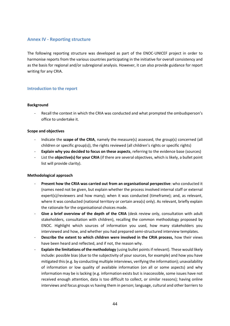### <span id="page-45-0"></span>**Annex IV - Reporting structure**

The following reporting structure was developed as part of the ENOC-UNICEF project in order to harmonise reports from the various countries participating in the initiative for overall consistency and as the basis for regional and/or subregional analysis. However, it can also provide guidance for report writing for any CRIA.

#### **Introduction to the report**

#### **Background**

- Recall the context in which the CRIA was conducted and what prompted the ombudsperson's office to undertake it.

#### **Scope and objectives**

- Indicate the **scope of the CRIA**, namely the measure(s) assessed, the group(s) concerned (all children or specific group(s)), the rights reviewed (all children's rights or specific rights)
- **Explain why you decided to focus on these aspects**, referring to the evidence base (sources)
- List the **objective(s) for your CRIA** (if there are several objectives, which is likely, a bullet point list will provide clarity).

#### **Methodological approach**

- **Present how the CRIA was carried out from an organisational perspective**: who conducted it (names need not be given, but explain whether the process involved internal staff or external expert(s)/reviewers and how many); when it was conducted (timeframe); and, as relevant, where it was conducted (national territory or certain area(s) only). As relevant, briefly explain the rationale for the organisational choices made.
- Give a brief overview of the depth of the CRIA (desk review only, consultation with adult stakeholders, consultation with children), recalling the common methodology proposed by ENOC. Highlight which sources of information you used, how many stakeholders you interviewed and how, and whether you had prepared semi-structured interview templates.
- Describe the extent to which children were involved in the CRIA process, how their views have been heard and reflected, and if not, the reason why.
- **Explain the limitations of the methodology** (using bullet points if relevant). These would likely include: possible bias (due to the subjectivity of your sources, for example) and how you have mitigated this (e.g. by conducting multiple interviews, verifying the information); unavailability of information or low quality of available information (on all or some aspects) and why information may be is lacking (e.g. information exists but is inaccessible, some issues have not received enough attention, data is too difficult to collect, or similar reasons); having online interviews and focus groups vs having them in person; language, cultural and other barriers to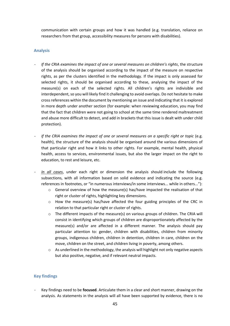communication with certain groups and how it was handled (e.g. translation, reliance on researchers from that group, accessibility measures for persons with disabilities).

#### **Analysis**

- *If the CRIA examines the impact of one or several measures on children's rights*, the structure of the analysis should be organised according to the impact of the measure on respective rights, as per the clusters identified in the methodology. If the impact is only assessed for selected rights, it should be organised according to these, analysing the impact of the measure(s) on each of the selected rights. All children's rights are indivisible and interdependent, so you will likely find it challenging to avoid overlaps. Do not hesitate to make cross references within the document by mentioning an issue and indicating that it is explored in more depth under another section (for example: when reviewing education, you may find that the fact that children were not going to school at the same time rendered maltreatment and abuse more difficult to detect, and add in brackets that this issue is dealt with under child protection).
- *If the CRIA examines the impact of one or several measures on a specific right or topic* (e.g. health), the structure of the analysis should be organised around the various dimensions of that particular right and how it links to other rights. For example, mental health, physical health, access to services, environmental issues, but also the larger impact on the right to education, to rest and leisure, etc.
- *In all cases*, under each right or dimension the analysis should include the following subsections, with all information based on solid evidence and indicating the source (e.g. references in footnotes, or "in numerous interviews/in some interviews... while in others..."):
	- $\circ$  General overview of how the measure(s) has/have impacted the realisation of that right or cluster of rights, highlighting key dimensions.
	- $\circ$  How the measure(s) has/have affected the four guiding principles of the CRC in relation to that particular right or cluster of rights.
	- $\circ$  The different impacts of the measure(s) on various groups of children. The CRIA will consist in identifying which groups of children are disproportionately affected by the measure(s) and/or are affected in a different manner. The analysis should pay particular attention to: gender, children with disabilities, children from minority groups, indigenous children, children in detention, children in care, children on the move, children on the street, and children living in poverty, among others.
	- $\circ$  As underlined in the methodology, the analysis will highlight not only negative aspects but also positive, negative, and if relevant neutral impacts.

#### **Key findings**

- Key findings need to be **focused**. Articulate them in a clear and short manner, drawing on the analysis. As statements in the analysis will all have been supported by evidence, there is no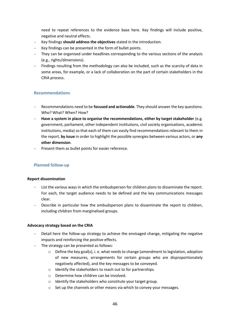need to repeat references to the evidence base here. Key findings will include positive, negative and neutral effects.

- Key findings **should address the objectives** stated in the introduction.
- Key findings can be presented in the form of bullet points.
- They can be organised under headlines corresponding to the various sections of the analysis (e.g., rights/dimensions).
- Findings resulting from the methodology can also be included, such as the scarcity of data in some areas, for example, or a lack of collaboration on the part of certain stakeholders in the CRIA process.

## **Recommendations**

- Recommendations need to be **focused and actionable**. They should answer the key questions: Who? What? When? How?
- **Have a system in place to organise the recommendations, either by target stakeholder** (e.g. government, parliament, other independent institutions, civil society organisations, academic institutions, media) so that each of them can easily find recommendations relevant to them in the report, **by issue** in order to highlight the possible synergies between various actors, or **any other dimension**.
- Present them as bullet points for easier reference.

## **Planned follow-up**

#### **Report dissemination**

- List the various ways in which the ombudsperson for children plans to disseminate the report. For each, the target audience needs to be defined and the key communications messages clear.
- Describe in particular how the ombudsperson plans to disseminate the report to children, including children from marginalised groups.

#### **Advocacy strategy based on the CRIA**

- Detail here the follow-up strategy to achieve the envisaged change, mitigating the negative impacts and reinforcing the positive effects.
- The strategy can be presented as follows:
	- $\circ$  Define the key goal(s), i. e. what needs to change (amendment to legislation, adoption of new measures, arrangements for certain groups who are disproportionately negatively affected), and the key messages to be conveyed.
	- o Identify the stakeholders to reach out to for partnerships.
	- o Determine how children can be involved.
	- o Identify the stakeholders who constitute your target group.
	- o Set up the channels or other means via which to convey your messages.